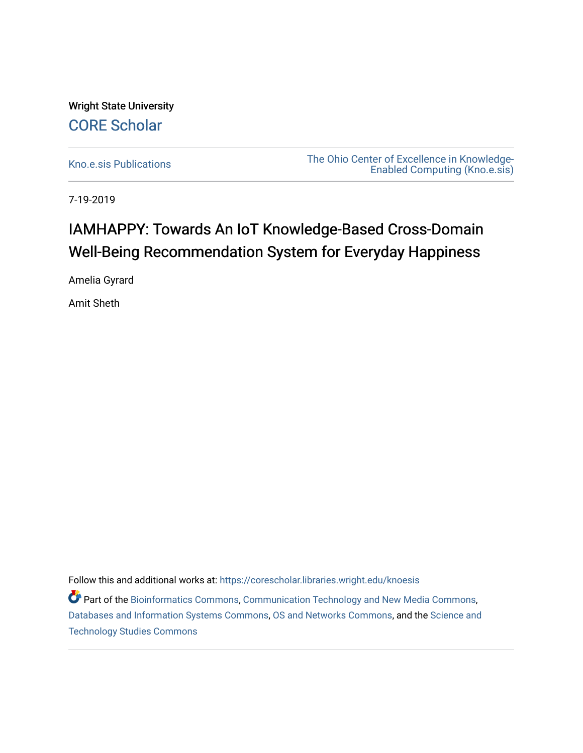Wright State University [CORE Scholar](https://corescholar.libraries.wright.edu/)

[Kno.e.sis Publications](https://corescholar.libraries.wright.edu/knoesis) [The Ohio Center of Excellence in Knowledge-](https://corescholar.libraries.wright.edu/knoesis_comm)[Enabled Computing \(Kno.e.sis\)](https://corescholar.libraries.wright.edu/knoesis_comm) 

7-19-2019

# IAMHAPPY: Towards An IoT Knowledge-Based Cross-Domain Well-Being Recommendation System for Everyday Happiness

Amelia Gyrard

Amit Sheth

Follow this and additional works at: [https://corescholar.libraries.wright.edu/knoesis](https://corescholar.libraries.wright.edu/knoesis?utm_source=corescholar.libraries.wright.edu%2Fknoesis%2F1160&utm_medium=PDF&utm_campaign=PDFCoverPages) 

Part of the [Bioinformatics Commons,](http://network.bepress.com/hgg/discipline/110?utm_source=corescholar.libraries.wright.edu%2Fknoesis%2F1160&utm_medium=PDF&utm_campaign=PDFCoverPages) [Communication Technology and New Media Commons,](http://network.bepress.com/hgg/discipline/327?utm_source=corescholar.libraries.wright.edu%2Fknoesis%2F1160&utm_medium=PDF&utm_campaign=PDFCoverPages) [Databases and Information Systems Commons](http://network.bepress.com/hgg/discipline/145?utm_source=corescholar.libraries.wright.edu%2Fknoesis%2F1160&utm_medium=PDF&utm_campaign=PDFCoverPages), [OS and Networks Commons](http://network.bepress.com/hgg/discipline/149?utm_source=corescholar.libraries.wright.edu%2Fknoesis%2F1160&utm_medium=PDF&utm_campaign=PDFCoverPages), and the [Science and](http://network.bepress.com/hgg/discipline/435?utm_source=corescholar.libraries.wright.edu%2Fknoesis%2F1160&utm_medium=PDF&utm_campaign=PDFCoverPages) [Technology Studies Commons](http://network.bepress.com/hgg/discipline/435?utm_source=corescholar.libraries.wright.edu%2Fknoesis%2F1160&utm_medium=PDF&utm_campaign=PDFCoverPages)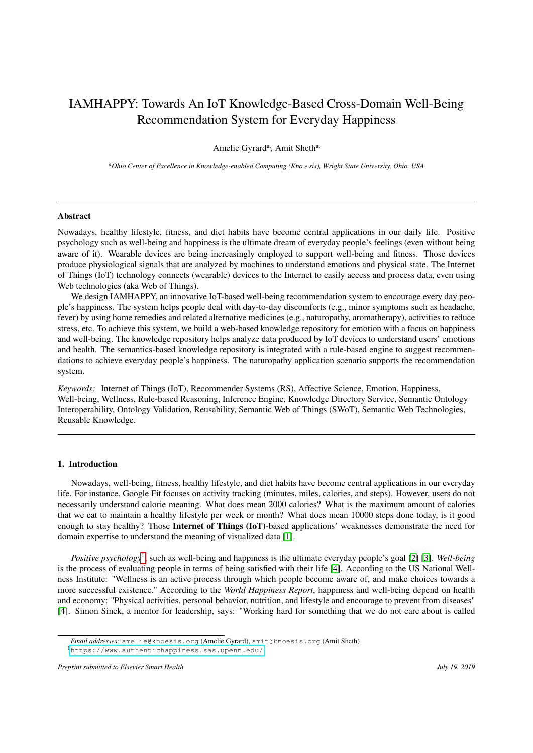# IAMHAPPY: Towards An IoT Knowledge-Based Cross-Domain Well-Being Recommendation System for Everyday Happiness

Amelie Gyrard<sup>a</sup>, Amit Sheth<sup>a,</sup>

*<sup>a</sup>Ohio Center of Excellence in Knowledge-enabled Computing (Kno.e.sis), Wright State University, Ohio, USA*

### Abstract

Nowadays, healthy lifestyle, fitness, and diet habits have become central applications in our daily life. Positive psychology such as well-being and happiness is the ultimate dream of everyday people's feelings (even without being aware of it). Wearable devices are being increasingly employed to support well-being and fitness. Those devices produce physiological signals that are analyzed by machines to understand emotions and physical state. The Internet of Things (IoT) technology connects (wearable) devices to the Internet to easily access and process data, even using Web technologies (aka Web of Things).

We design IAMHAPPY, an innovative IoT-based well-being recommendation system to encourage every day people's happiness. The system helps people deal with day-to-day discomforts (e.g., minor symptoms such as headache, fever) by using home remedies and related alternative medicines (e.g., naturopathy, aromatherapy), activities to reduce stress, etc. To achieve this system, we build a web-based knowledge repository for emotion with a focus on happiness and well-being. The knowledge repository helps analyze data produced by IoT devices to understand users' emotions and health. The semantics-based knowledge repository is integrated with a rule-based engine to suggest recommendations to achieve everyday people's happiness. The naturopathy application scenario supports the recommendation system.

*Keywords:* Internet of Things (IoT), Recommender Systems (RS), Affective Science, Emotion, Happiness, Well-being, Wellness, Rule-based Reasoning, Inference Engine, Knowledge Directory Service, Semantic Ontology Interoperability, Ontology Validation, Reusability, Semantic Web of Things (SWoT), Semantic Web Technologies, Reusable Knowledge.

# 1. Introduction

Nowadays, well-being, fitness, healthy lifestyle, and diet habits have become central applications in our everyday life. For instance, Google Fit focuses on activity tracking (minutes, miles, calories, and steps). However, users do not necessarily understand calorie meaning. What does mean 2000 calories? What is the maximum amount of calories that we eat to maintain a healthy lifestyle per week or month? What does mean 10000 steps done today, is it good enough to stay healthy? Those Internet of Things (IoT)-based applications' weaknesses demonstrate the need for domain expertise to understand the meaning of visualized data [\[1\]](#page-12-0).

*Positive psychology*[1](#page-1-0) , such as well-being and happiness is the ultimate everyday people's goal [\[2\]](#page-12-1) [\[3\]](#page-12-2). *Well-being* is the process of evaluating people in terms of being satisfied with their life [\[4\]](#page-12-3). According to the US National Wellness Institute: "Wellness is an active process through which people become aware of, and make choices towards a more successful existence." According to the *World Happiness Report*, happiness and well-being depend on health and economy: "Physical activities, personal behavior, nutrition, and lifestyle and encourage to prevent from diseases" [\[4\]](#page-12-3). Simon Sinek, a mentor for leadership, says: "Working hard for something that we do not care about is called

<span id="page-1-0"></span><sup>1</sup><https://www.authentichappiness.sas.upenn.edu/>

*Email addresses:* amelie@knoesis.org (Amelie Gyrard), amit@knoesis.org (Amit Sheth)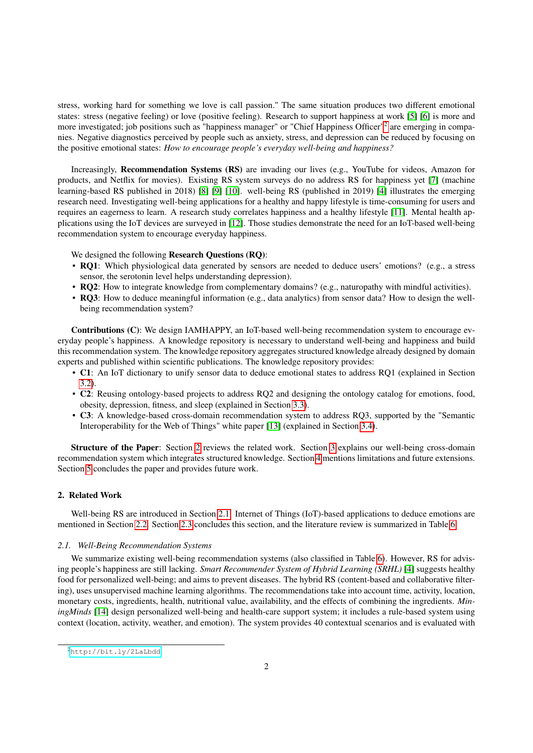stress, working hard for something we love is call passion." The same situation produces two different emotional states: stress (negative feeling) or love (positive feeling). Research to support happiness at work [\[5\]](#page-12-4) [\[6\]](#page-12-5) is more and more investigated; job positions such as "happiness manager" or "Chief Happiness Officer"<sup>[2](#page-2-0)</sup> are emerging in companies. Negative diagnostics perceived by people such as anxiety, stress, and depression can be reduced by focusing on the positive emotional states: *How to encourage people's everyday well-being and happiness?*

Increasingly, Recommendation Systems (RS) are invading our lives (e.g., YouTube for videos, Amazon for products, and Netflix for movies). Existing RS system surveys do no address RS for happiness yet [\[7\]](#page-12-6) (machine learning-based RS published in 2018) [\[8\]](#page-12-7) [\[9\]](#page-12-8) [\[10\]](#page-12-9). well-being RS (published in 2019) [\[4\]](#page-12-3) illustrates the emerging research need. Investigating well-being applications for a healthy and happy lifestyle is time-consuming for users and requires an eagerness to learn. A research study correlates happiness and a healthy lifestyle [\[11\]](#page-12-10). Mental health applications using the IoT devices are surveyed in [\[12\]](#page-12-11). Those studies demonstrate the need for an IoT-based well-being recommendation system to encourage everyday happiness.

We designed the following Research Questions (RQ):

- RQ1: Which physiological data generated by sensors are needed to deduce users' emotions? (e.g., a stress sensor, the serotonin level helps understanding depression).
- RQ2: How to integrate knowledge from complementary domains? (e.g., naturopathy with mindful activities).
- RQ3: How to deduce meaningful information (e.g., data analytics) from sensor data? How to design the wellbeing recommendation system?

Contributions (C): We design IAMHAPPY, an IoT-based well-being recommendation system to encourage everyday people's happiness. A knowledge repository is necessary to understand well-being and happiness and build this recommendation system. The knowledge repository aggregates structured knowledge already designed by domain experts and published within scientific publications. The knowledge repository provides:

- C1: An IoT dictionary to unify sensor data to deduce emotional states to address RQ1 (explained in Section [3.2\)](#page-5-0).
- C2: Reusing ontology-based projects to address RQ2 and designing the ontology catalog for emotions, food, obesity, depression, fitness, and sleep (explained in Section [3.3\)](#page-5-1).
- C3: A knowledge-based cross-domain recommendation system to address RQ3, supported by the "Semantic Interoperability for the Web of Things" white paper [\[13\]](#page-12-12) (explained in Section [3.4\)](#page-7-0).

Structure of the Paper: Section [2](#page-2-1) reviews the related work. Section [3](#page-4-0) explains our well-being cross-domain recommendation system which integrates structured knowledge. Section [4](#page-11-0) mentions limitations and future extensions. Section [5](#page-12-13) concludes the paper and provides future work.

# <span id="page-2-1"></span>2. Related Work

Well-being RS are introduced in Section [2.1.](#page-2-2) Internet of Things (IoT)-based applications to deduce emotions are mentioned in Section [2.2.](#page-3-0) Section [2.3](#page-3-1) concludes this section, and the literature review is summarized in Table [6.](#page-19-0)

#### <span id="page-2-2"></span>*2.1. Well-Being Recommendation Systems*

We summarize existing well-being recommendation systems (also classified in Table [6\)](#page-19-0). However, RS for advising people's happiness are still lacking. *Smart Recommender System of Hybrid Learning (SRHL)* [\[4\]](#page-12-3) suggests healthy food for personalized well-being; and aims to prevent diseases. The hybrid RS (content-based and collaborative filtering), uses unsupervised machine learning algorithms. The recommendations take into account time, activity, location, monetary costs, ingredients, health, nutritional value, availability, and the effects of combining the ingredients. *MiningMinds* [\[14\]](#page-12-14) design personalized well-being and health-care support system; it includes a rule-based system using context (location, activity, weather, and emotion). The system provides 40 contextual scenarios and is evaluated with

<span id="page-2-0"></span><sup>2</sup><http://bit.ly/2LaLbdd>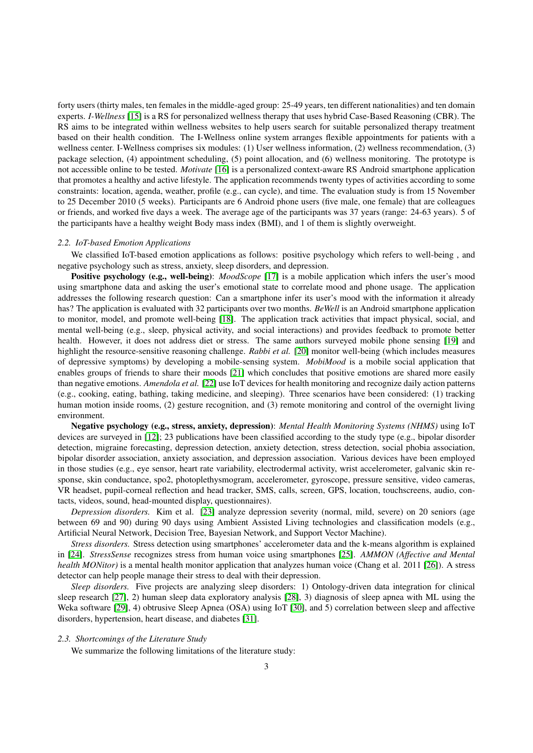forty users (thirty males, ten females in the middle-aged group: 25-49 years, ten different nationalities) and ten domain experts. *I-Wellness* [\[15\]](#page-12-15) is a RS for personalized wellness therapy that uses hybrid Case-Based Reasoning (CBR). The RS aims to be integrated within wellness websites to help users search for suitable personalized therapy treatment based on their health condition. The I-Wellness online system arranges flexible appointments for patients with a wellness center. I-Wellness comprises six modules: (1) User wellness information, (2) wellness recommendation, (3) package selection, (4) appointment scheduling, (5) point allocation, and (6) wellness monitoring. The prototype is not accessible online to be tested. *Motivate* [\[16\]](#page-12-16) is a personalized context-aware RS Android smartphone application that promotes a healthy and active lifestyle. The application recommends twenty types of activities according to some constraints: location, agenda, weather, profile (e.g., can cycle), and time. The evaluation study is from 15 November to 25 December 2010 (5 weeks). Participants are 6 Android phone users (five male, one female) that are colleagues or friends, and worked five days a week. The average age of the participants was 37 years (range: 24-63 years). 5 of the participants have a healthy weight Body mass index (BMI), and 1 of them is slightly overweight.

#### <span id="page-3-0"></span>*2.2. IoT-based Emotion Applications*

We classified IoT-based emotion applications as follows: positive psychology which refers to well-being , and negative psychology such as stress, anxiety, sleep disorders, and depression.

**Positive psychology (e.g., well-being)**: *MoodScope* [\[17\]](#page-12-17) is a mobile application which infers the user's mood using smartphone data and asking the user's emotional state to correlate mood and phone usage. The application addresses the following research question: Can a smartphone infer its user's mood with the information it already has? The application is evaluated with 32 participants over two months. *BeWell* is an Android smartphone application to monitor, model, and promote well-being [\[18\]](#page-12-18). The application track activities that impact physical, social, and mental well-being (e.g., sleep, physical activity, and social interactions) and provides feedback to promote better health. However, it does not address diet or stress. The same authors surveyed mobile phone sensing [\[19\]](#page-12-19) and highlight the resource-sensitive reasoning challenge. *Rabbi et al.* [\[20\]](#page-12-20) monitor well-being (which includes measures of depressive symptoms) by developing a mobile-sensing system. *MobiMood* is a mobile social application that enables groups of friends to share their moods [\[21\]](#page-12-21) which concludes that positive emotions are shared more easily than negative emotions. *Amendola et al.* [\[22\]](#page-12-22) use IoT devices for health monitoring and recognize daily action patterns (e.g., cooking, eating, bathing, taking medicine, and sleeping). Three scenarios have been considered: (1) tracking human motion inside rooms, (2) gesture recognition, and (3) remote monitoring and control of the overnight living environment.

Negative psychology (e.g., stress, anxiety, depression): *Mental Health Monitoring Systems (NHMS)* using IoT devices are surveyed in [\[12\]](#page-12-11); 23 publications have been classified according to the study type (e.g., bipolar disorder detection, migraine forecasting, depression detection, anxiety detection, stress detection, social phobia association, bipolar disorder association, anxiety association, and depression association. Various devices have been employed in those studies (e.g., eye sensor, heart rate variability, electrodermal activity, wrist accelerometer, galvanic skin response, skin conductance, spo2, photoplethysmogram, accelerometer, gyroscope, pressure sensitive, video cameras, VR headset, pupil-corneal reflection and head tracker, SMS, calls, screen, GPS, location, touchscreens, audio, contacts, videos, sound, head-mounted display, questionnaires).

*Depression disorders.* Kim et al. [\[23\]](#page-12-23) analyze depression severity (normal, mild, severe) on 20 seniors (age between 69 and 90) during 90 days using Ambient Assisted Living technologies and classification models (e.g., Artificial Neural Network, Decision Tree, Bayesian Network, and Support Vector Machine).

*Stress disorders.* Stress detection using smartphones' accelerometer data and the k-means algorithm is explained in [\[24\]](#page-12-24). *StressSense* recognizes stress from human voice using smartphones [\[25\]](#page-13-0). *AMMON (Affective and Mental health MONitor*) is a mental health monitor application that analyzes human voice (Chang et al. 2011 [\[26\]](#page-13-1)). A stress detector can help people manage their stress to deal with their depression.

*Sleep disorders.* Five projects are analyzing sleep disorders: 1) Ontology-driven data integration for clinical sleep research [\[27\]](#page-13-2), 2) human sleep data exploratory analysis [\[28\]](#page-13-3), 3) diagnosis of sleep apnea with ML using the Weka software [\[29\]](#page-13-4), 4) obtrusive Sleep Apnea (OSA) using IoT [\[30\]](#page-13-5), and 5) correlation between sleep and affective disorders, hypertension, heart disease, and diabetes [\[31\]](#page-13-6).

#### <span id="page-3-1"></span>*2.3. Shortcomings of the Literature Study*

We summarize the following limitations of the literature study: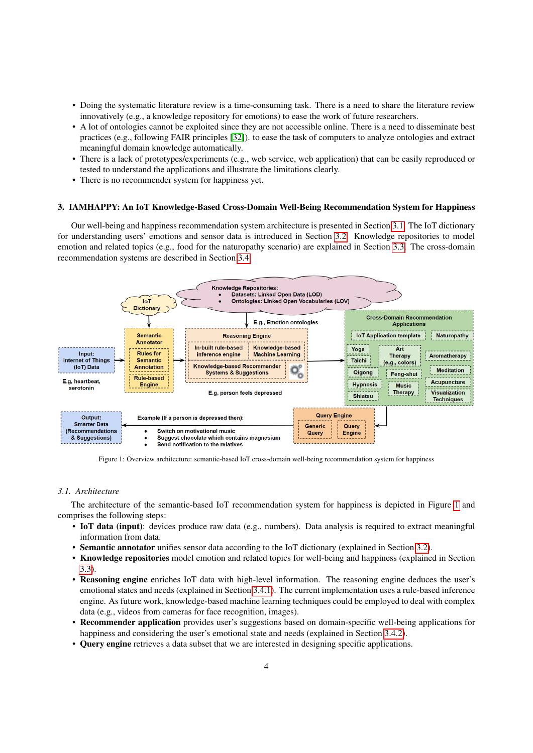- Doing the systematic literature review is a time-consuming task. There is a need to share the literature review innovatively (e.g., a knowledge repository for emotions) to ease the work of future researchers.
- A lot of ontologies cannot be exploited since they are not accessible online. There is a need to disseminate best practices (e.g., following FAIR principles [\[32\]](#page-13-7)). to ease the task of computers to analyze ontologies and extract meaningful domain knowledge automatically.
- There is a lack of prototypes/experiments (e.g., web service, web application) that can be easily reproduced or tested to understand the applications and illustrate the limitations clearly.
- There is no recommender system for happiness yet.

### <span id="page-4-0"></span>3. IAMHAPPY: An IoT Knowledge-Based Cross-Domain Well-Being Recommendation System for Happiness

Our well-being and happiness recommendation system architecture is presented in Section [3.1.](#page-4-1) The IoT dictionary for understanding users' emotions and sensor data is introduced in Section [3.2.](#page-5-0) Knowledge repositories to model emotion and related topics (e.g., food for the naturopathy scenario) are explained in Section [3.3.](#page-5-1) The cross-domain recommendation systems are described in Section [3.4.](#page-7-0)

<span id="page-4-2"></span>

Figure 1: Overview architecture: semantic-based IoT cross-domain well-being recommendation system for happiness

#### <span id="page-4-1"></span>*3.1. Architecture*

The architecture of the semantic-based IoT recommendation system for happiness is depicted in Figure [1](#page-4-2) and comprises the following steps:

- IoT data (input): devices produce raw data (e.g., numbers). Data analysis is required to extract meaningful information from data.
- Semantic annotator unifies sensor data according to the IoT dictionary (explained in Section [3.2\)](#page-5-0).
- Knowledge repositories model emotion and related topics for well-being and happiness (explained in Section [3.3\)](#page-5-1).
- Reasoning engine enriches IoT data with high-level information. The reasoning engine deduces the user's emotional states and needs (explained in Section [3.4.1\)](#page-8-0). The current implementation uses a rule-based inference engine. As future work, knowledge-based machine learning techniques could be employed to deal with complex data (e.g., videos from cameras for face recognition, images).
- Recommender application provides user's suggestions based on domain-specific well-being applications for happiness and considering the user's emotional state and needs (explained in Section [3.4.2\)](#page-8-1).
- Query engine retrieves a data subset that we are interested in designing specific applications.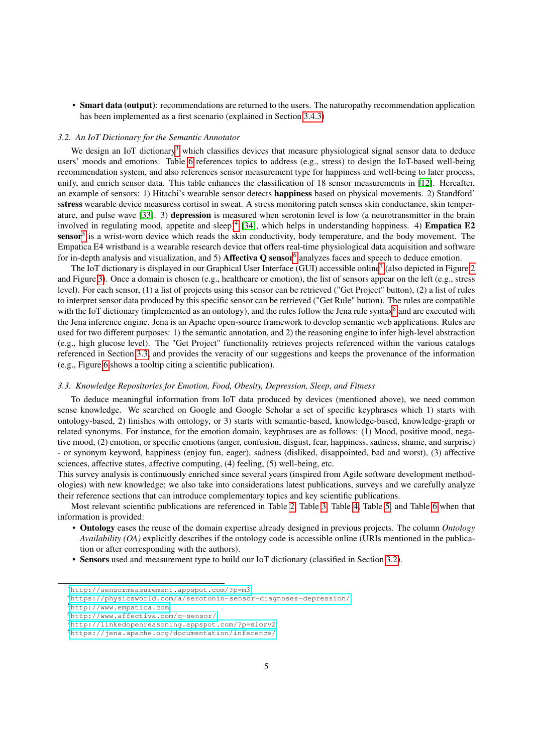• Smart data (output): recommendations are returned to the users. The naturopathy recommendation application has been implemented as a first scenario (explained in Section [3.4.3\)](#page-9-0)

### <span id="page-5-0"></span>*3.2. An IoT Dictionary for the Semantic Annotator*

We design an IoT dictionary<sup>[3](#page-5-2)</sup> which classifies devices that measure physiological signal sensor data to deduce users' moods and emotions. Table [6](#page-19-0) references topics to address (e.g., stress) to design the IoT-based well-being recommendation system, and also references sensor measurement type for happiness and well-being to later process, unify, and enrich sensor data. This table enhances the classification of 18 sensor measurements in [\[12\]](#page-12-11). Hereafter, an example of sensors: 1) Hitachi's wearable sensor detects happiness based on physical movements. 2) Standford' sstress wearable device measuress cortisol in sweat. A stress monitoring patch senses skin conductance, skin temperature, and pulse wave [\[33\]](#page-13-8). 3) depression is measured when serotonin level is low (a neurotransmitter in the brain involved in regulating mood, appetite and sleep)<sup>[4](#page-5-3)</sup> [\[34\]](#page-13-9), which helps in understanding happiness. 4) **Empatica E2** sensor<sup>[5](#page-5-4)</sup> is a wrist-worn device which reads the skin conductivity, body temperature, and the body movement. The Empatica E4 wristband is a wearable research device that offers real-time physiological data acquisition and software for in-depth analysis and visualization, and 5) Affectiva  $Q$  sensor<sup>[6](#page-5-5)</sup> analyzes faces and speech to deduce emotion.

The IoT dictionary is displayed in our Graphical User Interface (GUI) accessible online<sup>[7](#page-5-6)</sup> (also depicted in Figure [2](#page-6-0) and Figure [3\)](#page-6-1). Once a domain is chosen (e.g., healthcare or emotion), the list of sensors appear on the left (e.g., stress level). For each sensor, (1) a list of projects using this sensor can be retrieved ("Get Project" button), (2) a list of rules to interpret sensor data produced by this specific sensor can be retrieved ("Get Rule" button). The rules are compatible with the IoT dictionary (implemented as an ontology), and the rules follow the Jena rule syntax $8$  and are executed with the Jena inference engine. Jena is an Apache open-source framework to develop semantic web applications. Rules are used for two different purposes: 1) the semantic annotation, and 2) the reasoning engine to infer high-level abstraction (e.g., high glucose level). The "Get Project" functionality retrieves projects referenced within the various catalogs referenced in Section [3.3,](#page-5-1) and provides the veracity of our suggestions and keeps the provenance of the information (e.g., Figure [6](#page-10-0) shows a tooltip citing a scientific publication).

# <span id="page-5-1"></span>*3.3. Knowledge Repositories for Emotion, Food, Obesity, Depression, Sleep, and Fitness*

To deduce meaningful information from IoT data produced by devices (mentioned above), we need common sense knowledge. We searched on Google and Google Scholar a set of specific keyphrases which 1) starts with ontology-based, 2) finishes with ontology, or 3) starts with semantic-based, knowledge-based, knowledge-graph or related synonyms. For instance, for the emotion domain, keyphrases are as follows: (1) Mood, positive mood, negative mood, (2) emotion, or specific emotions (anger, confusion, disgust, fear, happiness, sadness, shame, and surprise) - or synonym keyword, happiness (enjoy fun, eager), sadness (disliked, disappointed, bad and worst), (3) affective sciences, affective states, affective computing, (4) feeling, (5) well-being, etc.

This survey analysis is continuously enriched since several years (inspired from Agile software development methodologies) with new knowledge; we also take into considerations latest publications, surveys and we carefully analyze their reference sections that can introduce complementary topics and key scientific publications.

Most relevant scientific publications are referenced in Table [2,](#page-16-0) Table [3,](#page-16-1) Table [4,](#page-17-0) Table [5,](#page-18-0) and Table [6](#page-19-0) when that information is provided:

- Ontology eases the reuse of the domain expertise already designed in previous projects. The column *Ontology Availability (OA)* explicitly describes if the ontology code is accessible online (URIs mentioned in the publication or after corresponding with the authors).
- Sensors used and measurement type to build our IoT dictionary (classified in Section [3.2\)](#page-5-0).

<span id="page-5-2"></span><sup>3</sup><http://sensormeasurement.appspot.com/?p=m3>

<span id="page-5-3"></span><sup>4</sup><https://physicsworld.com/a/serotonin-sensor-diagnoses-depression/>

<span id="page-5-4"></span><sup>5</sup><http://www.empatica.com>

<span id="page-5-5"></span><sup>6</sup><http://www.affectiva.com/q-sensor/>

<span id="page-5-6"></span><sup>7</sup><http://linkedopenreasoning.appspot.com/?p=slorv2>

<span id="page-5-7"></span><sup>8</sup><https://jena.apache.org/documentation/inference/>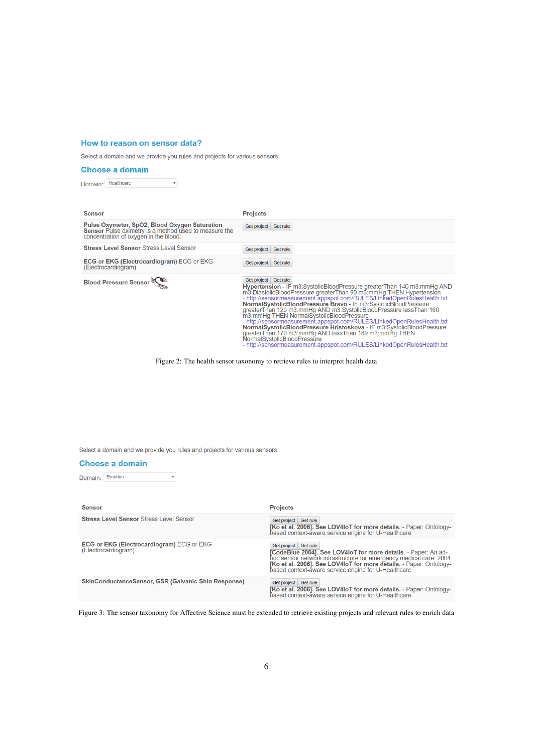# <span id="page-6-0"></span>How to reason on sensor data?

Select a domain and we provide you rules and projects for various sensors.

# **Choose a domain**

 $\begin{array}{c} \mathbf{v} \\ \mathbf{v} \end{array}$ Domain: Healthcare

| <b>Sensor</b>                                                                                                                                   | <b>Projects</b>                                                                                                                                                                                                                                                                                                                                                                                                                                                                                                                                                                                                                                                                                                                                           |
|-------------------------------------------------------------------------------------------------------------------------------------------------|-----------------------------------------------------------------------------------------------------------------------------------------------------------------------------------------------------------------------------------------------------------------------------------------------------------------------------------------------------------------------------------------------------------------------------------------------------------------------------------------------------------------------------------------------------------------------------------------------------------------------------------------------------------------------------------------------------------------------------------------------------------|
| Pulse Oxymeter, SpO2, Blood Oxygen Saturation<br>Sensor Pulse oximetry is a method used to measure the<br>concentration of oxygen in the blood. | Get rule<br>Get project                                                                                                                                                                                                                                                                                                                                                                                                                                                                                                                                                                                                                                                                                                                                   |
| <b>Stress Level Sensor Stress Level Sensor</b>                                                                                                  | Get project<br>Get rule                                                                                                                                                                                                                                                                                                                                                                                                                                                                                                                                                                                                                                                                                                                                   |
| <b>ECG or EKG (Electrocardiogram) ECG or EKG</b><br>(Electrocardiogram)                                                                         | Get project<br><b>Get rule</b>                                                                                                                                                                                                                                                                                                                                                                                                                                                                                                                                                                                                                                                                                                                            |
| <b>Blood Pressure Sensor</b>                                                                                                                    | Get project Get rule<br>Hypertension - IF m3:SystolicBloodPressure greaterThan 140 m3:mmHg AND<br>m3: DiastolicBloodPressure greaterThan 90 m3: mmHg THEN Hypertension<br>- http://sensormeasurement.appspot.com/RULES/LinkedOpenRulesHealth.txt<br>NormalSystolicBloodPressure Bravo - IF m3:SystolicBloodPressure<br>greaterThan 120 m3:mmHg AND m3:SystolicBloodPressure lessThan 160<br>m3:mmHg THEN NormalSystolicBloodPressure<br>- http://sensormeasurement.appspot.com/RULES/LinkedOpenRulesHealth.txt<br>NormalSystolicBloodPressure Hristoskova - IF m3:SystolicBloodPressure<br>greaterThan 170 m3:mmHg AND lessThan 189 m3:mmHg THEN<br>NormalSystolicBloodPressure<br>- http://sensormeasurement.appspot.com/RULES/LinkedOpenRulesHealth.txt |

Figure 2: The health sensor taxonomy to retrieve rules to interpret health data

<span id="page-6-1"></span>Select a domain and we provide you rules and projects for various sensors.

# **Choose a domain**

Domain: Emotion  $\overline{\mathbf{v}}$ 

| <b>Sensor</b>                                                           | <b>Projects</b>                                                                                                                                                                                                                                                                           |
|-------------------------------------------------------------------------|-------------------------------------------------------------------------------------------------------------------------------------------------------------------------------------------------------------------------------------------------------------------------------------------|
| <b>Stress Level Sensor Stress Level Sensor</b>                          | Get project Get rule<br>[Ko et al. 2006]. See LOV4IoT for more details. - Paper: Ontology-<br>based context-aware service engine for U-Healthcare                                                                                                                                         |
| <b>ECG or EKG (Electrocardiogram)</b> ECG or EKG<br>(Electrocardiogram) | Get project Get rule<br>[CodeBlue 2004]. See LOV4IoT for more details. - Paper: An ad-<br>hoc sensor network infrastructure for emergency medical care. 2004<br>[Ko et al. 2006]. See LOV4IoT for more details. - Paper: Ontology-<br>based context-aware service engine for U-Healthcare |
| <b>SkinConductanceSensor, GSR (Galvanic Shin Response)</b>              | Get project Get rule<br>[Ko et al. 2006]. See LOV4IoT for more details. - Paper: Ontology-<br>based context-aware service engine for U-Healthcare                                                                                                                                         |

Figure 3: The sensor taxonomy for Affective Science must be extended to retrieve existing projects and relevant rules to enrich data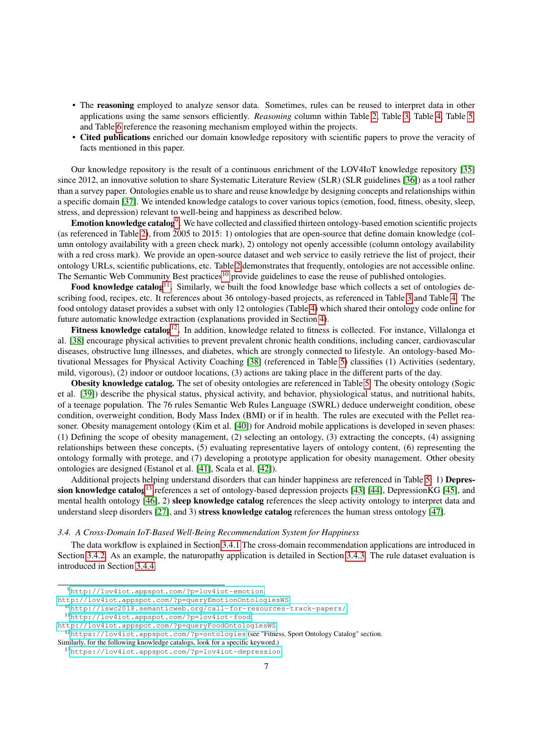- The **reasoning** employed to analyze sensor data. Sometimes, rules can be reused to interpret data in other applications using the same sensors efficiently. *Reasoning* column within Table [2,](#page-16-0) Table [3,](#page-16-1) Table [4,](#page-17-0) Table [5,](#page-18-0) and Table [6](#page-19-0) reference the reasoning mechanism employed within the projects.
- Cited publications enriched our domain knowledge repository with scientific papers to prove the veracity of facts mentioned in this paper.

Our knowledge repository is the result of a continuous enrichment of the LOV4IoT knowledge repository [\[35\]](#page-13-10) since 2012, an innovative solution to share Systematic Literature Review (SLR) (SLR guidelines [\[36\]](#page-13-11)) as a tool rather than a survey paper. Ontologies enable us to share and reuse knowledge by designing concepts and relationships within a specific domain [\[37\]](#page-13-12). We intended knowledge catalogs to cover various topics (emotion, food, fitness, obesity, sleep, stress, and depression) relevant to well-being and happiness as described below.

Emotion knowledge catalog<sup>[9](#page-7-1)</sup>. We have collected and classified thirteen ontology-based emotion scientific projects (as referenced in Table [2\)](#page-16-0), from 2005 to 2015: 1) ontologies that are open-source that define domain knowledge (column ontology availability with a green check mark), 2) ontology not openly accessible (column ontology availability with a red cross mark). We provide an open-source dataset and web service to easily retrieve the list of project, their ontology URLs, scientific publications, etc. Table [2](#page-16-0) demonstrates that frequently, ontologies are not accessible online. The Semantic Web Community Best practices<sup>[10](#page-7-2)</sup> provide guidelines to ease the reuse of published ontologies.

Food knowledge catalog<sup>[11](#page-7-3)</sup>. Similarly, we built the food knowledge base which collects a set of ontologies describing food, recipes, etc. It references about 36 ontology-based projects, as referenced in Table [3](#page-16-1) and Table [4.](#page-17-0) The food ontology dataset provides a subset with only 12 ontologies (Table [4\)](#page-17-0) which shared their ontology code online for future automatic knowledge extraction (explanations provided in Section [4\)](#page-11-0).

Fitness knowledge catalog<sup>[12](#page-7-4)</sup>. In addition, knowledge related to fitness is collected. For instance, Villalonga et al. [\[38\]](#page-13-13) encourage physical activities to prevent prevalent chronic health conditions, including cancer, cardiovascular diseases, obstructive lung illnesses, and diabetes, which are strongly connected to lifestyle. An ontology-based Motivational Messages for Physical Activity Coaching [\[38\]](#page-13-13) (referenced in Table [5\)](#page-18-0) classifies (1) Activities (sedentary, mild, vigorous), (2) indoor or outdoor locations, (3) actions are taking place in the different parts of the day.

Obesity knowledge catalog. The set of obesity ontologies are referenced in Table [5.](#page-18-0) The obesity ontology (Sogic et al. [\[39\]](#page-13-14)) describe the physical status, physical activity, and behavior, physiological status, and nutritional habits, of a teenage population. The 76 rules Semantic Web Rules Language (SWRL) deduce underweight condition, obese condition, overweight condition, Body Mass Index (BMI) or if in health. The rules are executed with the Pellet reasoner. Obesity management ontology (Kim et al. [\[40\]](#page-13-15)) for Android mobile applications is developed in seven phases: (1) Defining the scope of obesity management, (2) selecting an ontology, (3) extracting the concepts, (4) assigning relationships between these concepts, (5) evaluating representative layers of ontology content, (6) representing the ontology formally with protege, and (7) developing a prototype application for obesity management. Other obesity ontologies are designed (Estanol et al. [\[41\]](#page-13-16), Scala et al. [\[42\]](#page-13-17)).

Additional projects helping understand disorders that can hinder happiness are referenced in Table [5:](#page-18-0) 1) Depres-sion knowledge catalog<sup>[13](#page-7-5)</sup> references a set of ontology-based depression projects [\[43\]](#page-13-18) [\[44\]](#page-13-19), DepressionKG [\[45\]](#page-13-20), and mental health ontology [\[46\]](#page-13-21), 2) sleep knowledge catalog references the sleep activity ontology to interpret data and understand sleep disorders [\[27\]](#page-13-2), and 3) stress knowledge catalog references the human stress ontology [\[47\]](#page-13-22).

<span id="page-7-0"></span>*3.4. A Cross-Domain IoT-Based Well-Being Recommendation System for Happiness*

The data workflow is explained in Section [3.4.1](#page-8-0) The cross-domain recommendation applications are introduced in Section [3.4.2.](#page-8-1) As an example, the naturopathy application is detailed in Section [3.4.3.](#page-9-0) The rule dataset evaluation is introduced in Section [3.4.4.](#page-9-1)

<span id="page-7-5"></span><sup>13</sup><https://lov4iot.appspot.com/?p=lov4iot-depression>

<span id="page-7-1"></span><sup>9</sup><http://lov4iot.appspot.com/?p=lov4iot-emotion>,

<http://lov4iot.appspot.com/?p=queryEmotionOntologiesWS>

<span id="page-7-2"></span><sup>10</sup><http://iswc2018.semanticweb.org/call-for-resources-track-papers/>

<span id="page-7-3"></span><sup>11</sup><http://lov4iot.appspot.com/?p=lov4iot-food>,

<http://lov4iot.appspot.com/?p=queryFoodOntologiesWS>

<span id="page-7-4"></span><sup>12</sup><https://lov4iot.appspot.com/?p=ontologies> (see "Fitness, Sport Ontology Catalog" section. Similarly, for the following knowledge catalogs, look for a specific keyword.)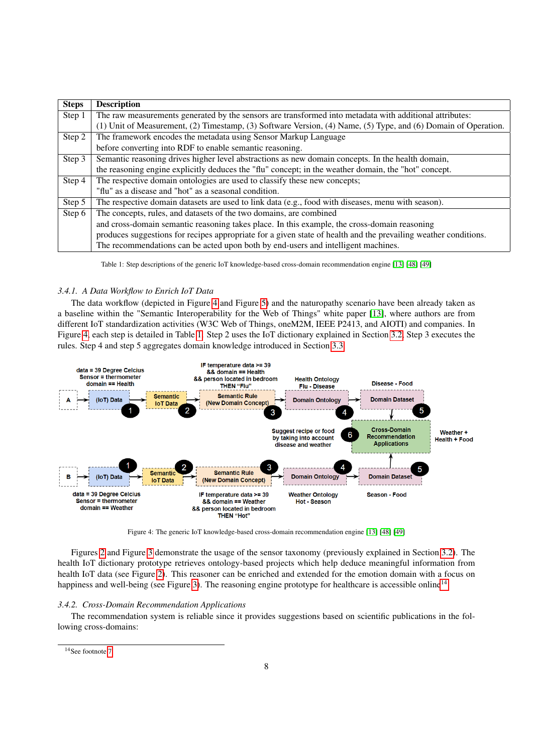<span id="page-8-3"></span>

| <b>Steps</b> | <b>Description</b>                                                                                              |
|--------------|-----------------------------------------------------------------------------------------------------------------|
| Step 1       | The raw measurements generated by the sensors are transformed into metadata with additional attributes:         |
|              | (1) Unit of Measurement, (2) Timestamp, (3) Software Version, (4) Name, (5) Type, and (6) Domain of Operation.  |
| Step 2       | The framework encodes the metadata using Sensor Markup Language                                                 |
|              | before converting into RDF to enable semantic reasoning.                                                        |
| Step 3       | Semantic reasoning drives higher level abstractions as new domain concepts. In the health domain,               |
|              | the reasoning engine explicitly deduces the "flu" concept; in the weather domain, the "hot" concept.            |
| Step 4       | The respective domain ontologies are used to classify these new concepts;                                       |
|              | "flu" as a disease and "hot" as a seasonal condition.                                                           |
| Step 5       | The respective domain datasets are used to link data (e.g., food with diseases, menu with season).              |
| Step 6       | The concepts, rules, and datasets of the two domains, are combined                                              |
|              | and cross-domain semantic reasoning takes place. In this example, the cross-domain reasoning                    |
|              | produces suggestions for recipes appropriate for a given state of health and the prevailing weather conditions. |
|              | The recommendations can be acted upon both by end-users and intelligent machines.                               |

Table 1: Step descriptions of the generic IoT knowledge-based cross-domain recommendation engine [\[13\]](#page-12-12) [\[48\]](#page-13-23) [\[49\]](#page-13-24)

# <span id="page-8-0"></span>*3.4.1. A Data Workflow to Enrich IoT Data*

The data workflow (depicted in Figure [4](#page-8-2) and Figure [5\)](#page-10-1) and the naturopathy scenario have been already taken as a baseline within the "Semantic Interoperability for the Web of Things" white paper [\[13\]](#page-12-12), where authors are from different IoT standardization activities (W3C Web of Things, oneM2M, IEEE P2413, and AIOTI) and companies. In Figure [4,](#page-8-2) each step is detailed in Table [1.](#page-8-3) Step 2 uses the IoT dictionary explained in Section [3.2,](#page-5-0) Step 3 executes the rules. Step 4 and step 5 aggregates domain knowledge introduced in Section [3.3.](#page-5-1)

<span id="page-8-2"></span>

Figure 4: The generic IoT knowledge-based cross-domain recommendation engine [\[13\]](#page-12-12) [\[48\]](#page-13-23) [\[49\]](#page-13-24)

Figures [2](#page-6-0) and Figure [3](#page-6-1) demonstrate the usage of the sensor taxonomy (previously explained in Section [3.2\)](#page-5-0). The health IoT dictionary prototype retrieves ontology-based projects which help deduce meaningful information from health IoT data (see Figure [2\)](#page-6-0). This reasoner can be enriched and extended for the emotion domain with a focus on happiness and well-being (see Figure [3\)](#page-6-1). The reasoning engine prototype for healthcare is accessible online<sup>[14](#page-8-4)</sup>.

# <span id="page-8-1"></span>*3.4.2. Cross-Domain Recommendation Applications*

The recommendation system is reliable since it provides suggestions based on scientific publications in the following cross-domains:

<span id="page-8-4"></span><sup>&</sup>lt;sup>14</sup>See footnote [7](#page-5-6)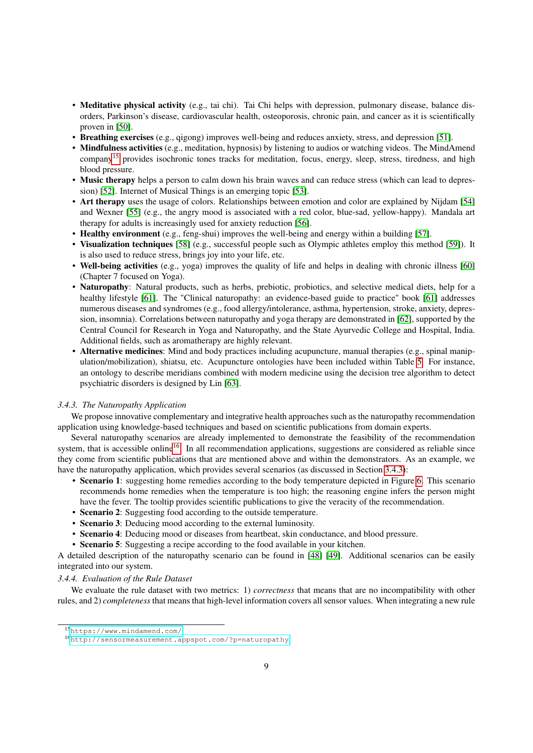- Meditative physical activity (e.g., tai chi). Tai Chi helps with depression, pulmonary disease, balance disorders, Parkinson's disease, cardiovascular health, osteoporosis, chronic pain, and cancer as it is scientifically proven in [\[50\]](#page-13-25).
- Breathing exercises (e.g., qigong) improves well-being and reduces anxiety, stress, and depression [\[51\]](#page-13-26).
- Mindfulness activities (e.g., meditation, hypnosis) by listening to audios or watching videos. The MindAmend company<sup>[15](#page-9-2)</sup> provides isochronic tones tracks for meditation, focus, energy, sleep, stress, tiredness, and high blood pressure.
- Music therapy helps a person to calm down his brain waves and can reduce stress (which can lead to depression) [\[52\]](#page-13-27). Internet of Musical Things is an emerging topic [\[53\]](#page-13-28).
- Art therapy uses the usage of colors. Relationships between emotion and color are explained by Nijdam [\[54\]](#page-13-29) and Wexner [\[55\]](#page-13-30) (e.g., the angry mood is associated with a red color, blue-sad, yellow-happy). Mandala art therapy for adults is increasingly used for anxiety reduction [\[56\]](#page-13-31).
- Healthy environment (e.g., feng-shui) improves the well-being and energy within a building [\[57\]](#page-13-32).
- Visualization techniques [\[58\]](#page-13-33) (e.g., successful people such as Olympic athletes employ this method [\[59\]](#page-13-34)). It is also used to reduce stress, brings joy into your life, etc.
- Well-being activities (e.g., yoga) improves the quality of life and helps in dealing with chronic illness [\[60\]](#page-13-35) (Chapter 7 focused on Yoga).
- Naturopathy: Natural products, such as herbs, prebiotic, probiotics, and selective medical diets, help for a healthy lifestyle [\[61\]](#page-14-0). The "Clinical naturopathy: an evidence-based guide to practice" book [\[61\]](#page-14-0) addresses numerous diseases and syndromes (e.g., food allergy/intolerance, asthma, hypertension, stroke, anxiety, depression, insomnia). Correlations between naturopathy and yoga therapy are demonstrated in [\[62\]](#page-14-1), supported by the Central Council for Research in Yoga and Naturopathy, and the State Ayurvedic College and Hospital, India. Additional fields, such as aromatherapy are highly relevant.
- Alternative medicines: Mind and body practices including acupuncture, manual therapies (e.g., spinal manipulation/mobilization), shiatsu, etc. Acupuncture ontologies have been included within Table [5.](#page-18-0) For instance, an ontology to describe meridians combined with modern medicine using the decision tree algorithm to detect psychiatric disorders is designed by Lin [\[63\]](#page-14-2).

# <span id="page-9-0"></span>*3.4.3. The Naturopathy Application*

We propose innovative complementary and integrative health approaches such as the naturopathy recommendation application using knowledge-based techniques and based on scientific publications from domain experts.

Several naturopathy scenarios are already implemented to demonstrate the feasibility of the recommendation system, that is accessible online<sup>[16](#page-9-3)</sup>. In all recommendation applications, suggestions are considered as reliable since they come from scientific publications that are mentioned above and within the demonstrators. As an example, we have the naturopathy application, which provides several scenarios (as discussed in Section [3.4.3\)](#page-9-0):

- Scenario 1: suggesting home remedies according to the body temperature depicted in Figure [6.](#page-10-0) This scenario recommends home remedies when the temperature is too high; the reasoning engine infers the person might have the fever. The tooltip provides scientific publications to give the veracity of the recommendation.
- Scenario 2: Suggesting food according to the outside temperature.
- Scenario 3: Deducing mood according to the external luminosity.
- Scenario 4: Deducing mood or diseases from heartbeat, skin conductance, and blood pressure.
- Scenario 5: Suggesting a recipe according to the food available in your kitchen.

A detailed description of the naturopathy scenario can be found in [\[48\]](#page-13-23) [\[49\]](#page-13-24). Additional scenarios can be easily integrated into our system.

#### <span id="page-9-1"></span>*3.4.4. Evaluation of the Rule Dataset*

We evaluate the rule dataset with two metrics: 1) *correctness* that means that are no incompatibility with other rules, and 2) *completeness* that means that high-level information covers all sensor values. When integrating a new rule

<span id="page-9-2"></span><sup>15</sup><https://www.mindamend.com/>

<span id="page-9-3"></span><sup>16</sup><http://sensormeasurement.appspot.com/?p=naturopathy>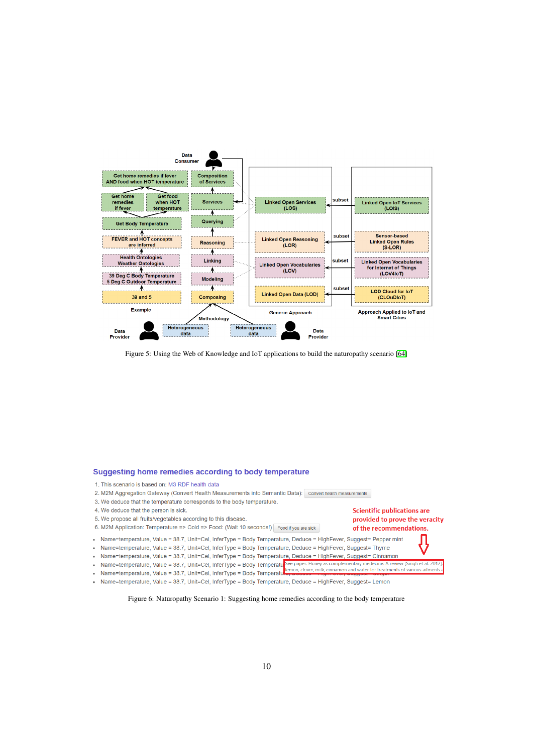<span id="page-10-1"></span>

Figure 5: Using the Web of Knowledge and IoT applications to build the naturopathy scenario [\[64\]](#page-14-3)

# <span id="page-10-0"></span>Suggesting home remedies according to body temperature

- 1. This scenario is based on: M3 RDF health data
- 2. M2M Aggregation Gateway (Convert Health Measurements into Semantic Data): Convert health measurements
- 3. We deduce that the temperature corresponds to the body temperature.
- 4. We deduce that the person is sick.
- 5. We propose all fruits/vegetables according to this disease.
- 6. M2M Application: Temperature => Cold => Food: (Wait 10 seconds!) Food if you are sick
- Name=temperature, Value = 38.7, Unit=Cel, InferType = Body Temperature, Deduce = HighFever, Suggest= Pepper mint
- Name=temperature, Value = 38.7, Unit=Cel, InferType = Body Temperature, Deduce = HighFever, Suggest= Thyme
- · Name=temperature, Value = 38.7, Unit=Cel, InferType = Body Temperature, Deduce = HighFever, Suggest= Cinnamon
- Name=temperature, Value = 38.7, Unit=Cel, InferType = Body Temperature See paper: Honey as complementary medecine: A review [Singh et al. 201.<br>• Name=temperature, Value = 38.7, Unit=Cel, InferType = Body Temperature in

**Scientific publications are** 

of the recommendations.

provided to prove the veracity

- Name=temperature, Value = 38.7, Unit=Cel, InferType = Body Temperatu
- Name=temperature, Value = 38.7, Unit=Cel, InferType = Body Temperature, Deduce = HighFever, Suggest= Lemon

Figure 6: Naturopathy Scenario 1: Suggesting home remedies according to the body temperature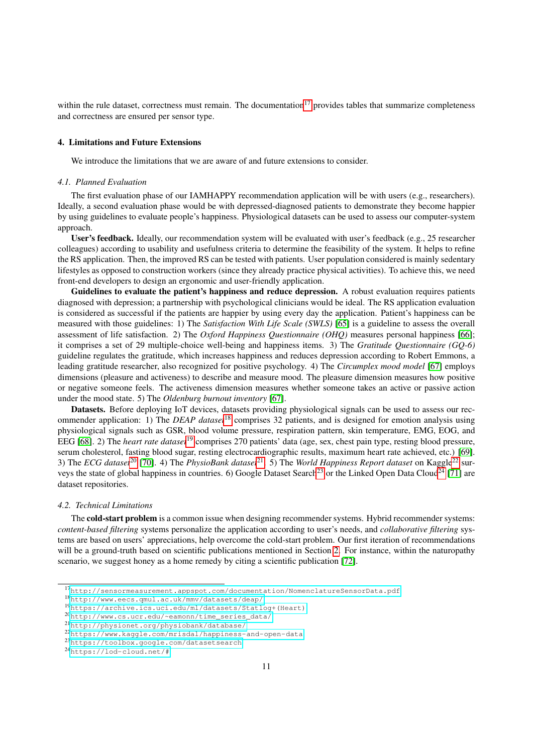within the rule dataset, correctness must remain. The documentation<sup>[17](#page-11-1)</sup> provides tables that summarize completeness and correctness are ensured per sensor type.

#### <span id="page-11-0"></span>4. Limitations and Future Extensions

We introduce the limitations that we are aware of and future extensions to consider.

### *4.1. Planned Evaluation*

The first evaluation phase of our IAMHAPPY recommendation application will be with users (e.g., researchers). Ideally, a second evaluation phase would be with depressed-diagnosed patients to demonstrate they become happier by using guidelines to evaluate people's happiness. Physiological datasets can be used to assess our computer-system approach.

User's feedback. Ideally, our recommendation system will be evaluated with user's feedback (e.g., 25 researcher colleagues) according to usability and usefulness criteria to determine the feasibility of the system. It helps to refine the RS application. Then, the improved RS can be tested with patients. User population considered is mainly sedentary lifestyles as opposed to construction workers (since they already practice physical activities). To achieve this, we need front-end developers to design an ergonomic and user-friendly application.

Guidelines to evaluate the patient's happiness and reduce depression. A robust evaluation requires patients diagnosed with depression; a partnership with psychological clinicians would be ideal. The RS application evaluation is considered as successful if the patients are happier by using every day the application. Patient's happiness can be measured with those guidelines: 1) The *Satisfaction With Life Scale (SWLS)* [\[65\]](#page-14-4) is a guideline to assess the overall assessment of life satisfaction. 2) The *Oxford Happiness Questionnaire (OHQ)* measures personal happiness [\[66\]](#page-14-5); it comprises a set of 29 multiple-choice well-being and happiness items. 3) The *Gratitude Questionnaire (GQ-6)* guideline regulates the gratitude, which increases happiness and reduces depression according to Robert Emmons, a leading gratitude researcher, also recognized for positive psychology. 4) The *Circumplex mood model* [\[67\]](#page-14-6) employs dimensions (pleasure and activeness) to describe and measure mood. The pleasure dimension measures how positive or negative someone feels. The activeness dimension measures whether someone takes an active or passive action under the mood state. 5) The *Oldenburg burnout inventory* [\[67\]](#page-14-6).

Datasets. Before deploying IoT devices, datasets providing physiological signals can be used to assess our recommender application: 1) The *DEAP dataset*[18](#page-11-2) comprises 32 patients, and is designed for emotion analysis using physiological signals such as GSR, blood volume pressure, respiration pattern, skin temperature, EMG, EOG, and EEG [\[68\]](#page-14-7). 2) The *heart rate dataset*[19](#page-11-3) comprises 270 patients' data (age, sex, chest pain type, resting blood pressure, serum cholesterol, fasting blood sugar, resting electrocardiographic results, maximum heart rate achieved, etc.) [\[69\]](#page-14-8). 3) The *ECG dataset*<sup>[20](#page-11-4)</sup> [\[70\]](#page-14-9). 4) The *PhysioBank dataset*<sup>[21](#page-11-5)</sup>. 5) The *World Happiness Report dataset* on Kaggle<sup>[22](#page-11-6)</sup> sur-veys the state of global happiness in countries. 6) Google Dataset Search<sup>[23](#page-11-7)</sup> or the Linked Open Data Cloud<sup>[24](#page-11-8)</sup> [\[71\]](#page-14-10) are dataset repositories.

# *4.2. Technical Limitations*

The **cold-start problem** is a common issue when designing recommender systems. Hybrid recommender systems: *content-based filtering* systems personalize the application according to user's needs, and *collaborative filtering* systems are based on users' appreciations, help overcome the cold-start problem. Our first iteration of recommendations will be a ground-truth based on scientific publications mentioned in Section [2.](#page-2-1) For instance, within the naturopathy scenario, we suggest honey as a home remedy by citing a scientific publication [\[72\]](#page-14-11).

<span id="page-11-8"></span><sup>24</sup><https://lod-cloud.net/#>

<span id="page-11-1"></span><sup>17</sup><http://sensormeasurement.appspot.com/documentation/NomenclatureSensorData.pdf>

<span id="page-11-2"></span><sup>18</sup><http://www.eecs.qmul.ac.uk/mmv/datasets/deap/>

<span id="page-11-3"></span><sup>19</sup>[https://archive.ics.uci.edu/ml/datasets/Statlog+\(Heart\)](https://archive.ics.uci.edu/ml/datasets/Statlog+(Heart))

<span id="page-11-4"></span><sup>20</sup>[http://www.cs.ucr.edu/~eamonn/time\\_series\\_data/](http://www.cs.ucr.edu/~eamonn/time_series_data/)

<span id="page-11-5"></span><sup>21</sup><http://physionet.org/physiobank/database/>

<span id="page-11-6"></span><sup>22</sup><https://www.kaggle.com/mrisdal/happiness-and-open-data>

<span id="page-11-7"></span><sup>23</sup><https://toolbox.google.com/datasetsearch>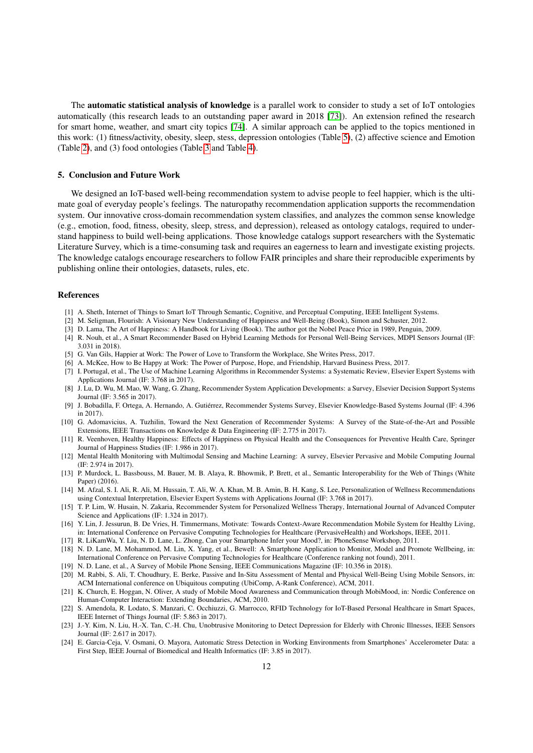The **automatic statistical analysis of knowledge** is a parallel work to consider to study a set of IoT ontologies automatically (this research leads to an outstanding paper award in 2018 [\[73\]](#page-14-12)). An extension refined the research for smart home, weather, and smart city topics [\[74\]](#page-14-13). A similar approach can be applied to the topics mentioned in this work: (1) fitness/activity, obesity, sleep, stess, depression ontologies (Table [5\)](#page-18-0), (2) affective science and Emotion (Table [2\)](#page-16-0), and (3) food ontologies (Table [3](#page-16-1) and Table [4\)](#page-17-0).

#### <span id="page-12-13"></span>5. Conclusion and Future Work

We designed an IoT-based well-being recommendation system to advise people to feel happier, which is the ultimate goal of everyday people's feelings. The naturopathy recommendation application supports the recommendation system. Our innovative cross-domain recommendation system classifies, and analyzes the common sense knowledge (e.g., emotion, food, fitness, obesity, sleep, stress, and depression), released as ontology catalogs, required to understand happiness to build well-being applications. Those knowledge catalogs support researchers with the Systematic Literature Survey, which is a time-consuming task and requires an eagerness to learn and investigate existing projects. The knowledge catalogs encourage researchers to follow FAIR principles and share their reproducible experiments by publishing online their ontologies, datasets, rules, etc.

#### References

- <span id="page-12-0"></span>[1] A. Sheth, Internet of Things to Smart IoT Through Semantic, Cognitive, and Perceptual Computing, IEEE Intelligent Systems.
- <span id="page-12-1"></span>[2] M. Seligman, Flourish: A Visionary New Understanding of Happiness and Well-Being (Book), Simon and Schuster, 2012.
- <span id="page-12-2"></span>[3] D. Lama, The Art of Happiness: A Handbook for Living (Book). The author got the Nobel Peace Price in 1989, Penguin, 2009.
- <span id="page-12-3"></span>[4] R. Nouh, et al., A Smart Recommender Based on Hybrid Learning Methods for Personal Well-Being Services, MDPI Sensors Journal (IF: 3.031 in 2018).
- <span id="page-12-4"></span>[5] G. Van Gils, Happier at Work: The Power of Love to Transform the Workplace, She Writes Press, 2017.
- <span id="page-12-5"></span>[6] A. McKee, How to Be Happy at Work: The Power of Purpose, Hope, and Friendship, Harvard Business Press, 2017.
- <span id="page-12-6"></span>[7] I. Portugal, et al., The Use of Machine Learning Algorithms in Recommender Systems: a Systematic Review, Elsevier Expert Systems with Applications Journal (IF: 3.768 in 2017).
- <span id="page-12-7"></span>[8] J. Lu, D. Wu, M. Mao, W. Wang, G. Zhang, Recommender System Application Developments: a Survey, Elsevier Decision Support Systems Journal (IF: 3.565 in 2017).
- <span id="page-12-8"></span>[9] J. Bobadilla, F. Ortega, A. Hernando, A. Gutiérrez, Recommender Systems Survey, Elsevier Knowledge-Based Systems Journal (IF: 4.396 in 2017).
- <span id="page-12-9"></span>[10] G. Adomavicius, A. Tuzhilin, Toward the Next Generation of Recommender Systems: A Survey of the State-of-the-Art and Possible Extensions, IEEE Transactions on Knowledge & Data Engineering (IF: 2.775 in 2017).
- <span id="page-12-10"></span>[11] R. Veenhoven, Healthy Happiness: Effects of Happiness on Physical Health and the Consequences for Preventive Health Care, Springer Journal of Happiness Studies (IF: 1.986 in 2017).
- <span id="page-12-11"></span>[12] Mental Health Monitoring with Multimodal Sensing and Machine Learning: A survey, Elsevier Pervasive and Mobile Computing Journal (IF: 2.974 in 2017).
- <span id="page-12-12"></span>[13] P. Murdock, L. Bassbouss, M. Bauer, M. B. Alaya, R. Bhowmik, P. Brett, et al., Semantic Interoperability for the Web of Things (White Paper) (2016).
- <span id="page-12-14"></span>[14] M. Afzal, S. I. Ali, R. Ali, M. Hussain, T. Ali, W. A. Khan, M. B. Amin, B. H. Kang, S. Lee, Personalization of Wellness Recommendations using Contextual Interpretation, Elsevier Expert Systems with Applications Journal (IF: 3.768 in 2017).
- <span id="page-12-15"></span>[15] T. P. Lim, W. Husain, N. Zakaria, Recommender System for Personalized Wellness Therapy, International Journal of Advanced Computer Science and Applications (IF: 1.324 in 2017).
- <span id="page-12-16"></span>[16] Y. Lin, J. Jessurun, B. De Vries, H. Timmermans, Motivate: Towards Context-Aware Recommendation Mobile System for Healthy Living, in: International Conference on Pervasive Computing Technologies for Healthcare (PervasiveHealth) and Workshops, IEEE, 2011.
- <span id="page-12-17"></span>[17] R. LiKamWa, Y. Liu, N. D. Lane, L. Zhong, Can your Smartphone Infer your Mood?, in: PhoneSense Workshop, 2011.
- <span id="page-12-18"></span>[18] N. D. Lane, M. Mohammod, M. Lin, X. Yang, et al., Bewell: A Smartphone Application to Monitor, Model and Promote Wellbeing, in: International Conference on Pervasive Computing Technologies for Healthcare (Conference ranking not found), 2011.
- <span id="page-12-19"></span>[19] N. D. Lane, et al., A Survey of Mobile Phone Sensing, IEEE Communications Magazine (IF: 10.356 in 2018).
- <span id="page-12-20"></span>[20] M. Rabbi, S. Ali, T. Choudhury, E. Berke, Passive and In-Situ Assessment of Mental and Physical Well-Being Using Mobile Sensors, in: ACM International conference on Ubiquitous computing (UbiComp, A-Rank Conference), ACM, 2011.
- <span id="page-12-21"></span>[21] K. Church, E. Hoggan, N. Oliver, A study of Mobile Mood Awareness and Communication through MobiMood, in: Nordic Conference on Human-Computer Interaction: Extending Boundaries, ACM, 2010.
- <span id="page-12-22"></span>[22] S. Amendola, R. Lodato, S. Manzari, C. Occhiuzzi, G. Marrocco, RFID Technology for IoT-Based Personal Healthcare in Smart Spaces, IEEE Internet of Things Journal (IF: 5.863 in 2017).
- <span id="page-12-23"></span>[23] J.-Y. Kim, N. Liu, H.-X. Tan, C.-H. Chu, Unobtrusive Monitoring to Detect Depression for Elderly with Chronic Illnesses, IEEE Sensors Journal (IF: 2.617 in 2017).
- <span id="page-12-24"></span>[24] E. Garcia-Ceja, V. Osmani, O. Mayora, Automatic Stress Detection in Working Environments from Smartphones' Accelerometer Data: a First Step, IEEE Journal of Biomedical and Health Informatics (IF: 3.85 in 2017).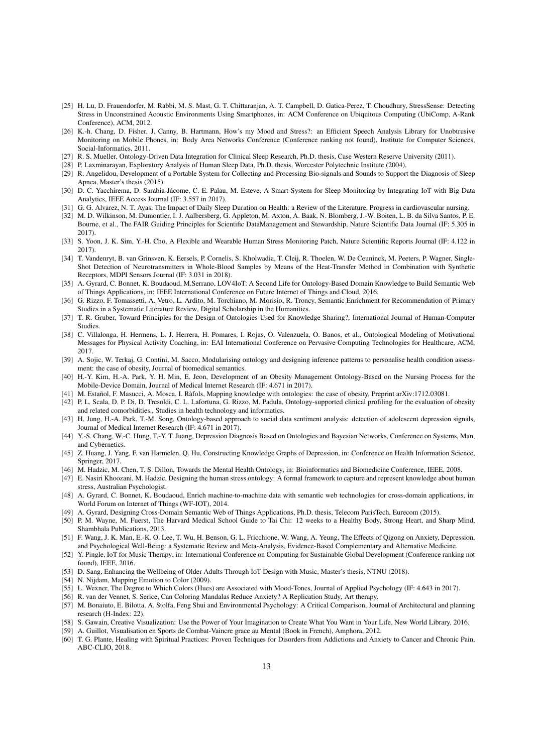- <span id="page-13-0"></span>[25] H. Lu, D. Frauendorfer, M. Rabbi, M. S. Mast, G. T. Chittaranjan, A. T. Campbell, D. Gatica-Perez, T. Choudhury, StressSense: Detecting Stress in Unconstrained Acoustic Environments Using Smartphones, in: ACM Conference on Ubiquitous Computing (UbiComp, A-Rank Conference), ACM, 2012.
- <span id="page-13-1"></span>[26] K.-h. Chang, D. Fisher, J. Canny, B. Hartmann, How's my Mood and Stress?: an Efficient Speech Analysis Library for Unobtrusive Monitoring on Mobile Phones, in: Body Area Networks Conference (Conference ranking not found), Institute for Computer Sciences, Social-Informatics, 2011.
- <span id="page-13-2"></span>[27] R. S. Mueller, Ontology-Driven Data Integration for Clinical Sleep Research, Ph.D. thesis, Case Western Reserve University (2011).
- <span id="page-13-3"></span>[28] P. Laxminarayan, Exploratory Analysis of Human Sleep Data, Ph.D. thesis, Worcester Polytechnic Institute (2004).
- <span id="page-13-4"></span>[29] R. Angelidou, Development of a Portable System for Collecting and Processing Bio-signals and Sounds to Support the Diagnosis of Sleep Apnea, Master's thesis (2015).
- <span id="page-13-5"></span>[30] D. C. Yacchirema, D. Sarabia-Jácome, C. E. Palau, M. Esteve, A Smart System for Sleep Monitoring by Integrating IoT with Big Data Analytics, IEEE Access Journal (IF: 3.557 in 2017).
- <span id="page-13-6"></span>[31] G. G. Alvarez, N. T. Ayas, The Impact of Daily Sleep Duration on Health: a Review of the Literature, Progress in cardiovascular nursing.
- <span id="page-13-7"></span>[32] M. D. Wilkinson, M. Dumontier, I. J. Aalbersberg, G. Appleton, M. Axton, A. Baak, N. Blomberg, J.-W. Boiten, L. B. da Silva Santos, P. E. Bourne, et al., The FAIR Guiding Principles for Scientific DataManagement and Stewardship, Nature Scientific Data Journal (IF: 5.305 in 2017).
- <span id="page-13-8"></span>[33] S. Yoon, J. K. Sim, Y.-H. Cho, A Flexible and Wearable Human Stress Monitoring Patch, Nature Scientific Reports Journal (IF: 4.122 in 2017).
- <span id="page-13-9"></span>[34] T. Vandenryt, B. van Grinsven, K. Eersels, P. Cornelis, S. Kholwadia, T. Cleij, R. Thoelen, W. De Ceuninck, M. Peeters, P. Wagner, Single-Shot Detection of Neurotransmitters in Whole-Blood Samples by Means of the Heat-Transfer Method in Combination with Synthetic Receptors, MDPI Sensors Journal (IF: 3.031 in 2018).
- <span id="page-13-10"></span>[35] A. Gyrard, C. Bonnet, K. Boudaoud, M.Serrano, LOV4IoT: A Second Life for Ontology-Based Domain Knowledge to Build Semantic Web of Things Applications, in: IEEE International Conference on Future Internet of Things and Cloud, 2016.
- <span id="page-13-11"></span>[36] G. Rizzo, F. Tomassetti, A. Vetro, L. Ardito, M. Torchiano, M. Morisio, R. Troncy, Semantic Enrichment for Recommendation of Primary Studies in a Systematic Literature Review, Digital Scholarship in the Humanities.
- <span id="page-13-12"></span>[37] T. R. Gruber, Toward Principles for the Design of Ontologies Used for Knowledge Sharing?, International Journal of Human-Computer Studies.
- <span id="page-13-13"></span>[38] C. Villalonga, H. Hermens, L. J. Herrera, H. Pomares, I. Rojas, O. Valenzuela, O. Banos, et al., Ontological Modeling of Motivational Messages for Physical Activity Coaching, in: EAI International Conference on Pervasive Computing Technologies for Healthcare, ACM, 2017.
- <span id="page-13-14"></span>[39] A. Sojic, W. Terkaj, G. Contini, M. Sacco, Modularising ontology and designing inference patterns to personalise health condition assessment: the case of obesity, Journal of biomedical semantics.
- <span id="page-13-15"></span>[40] H.-Y. Kim, H.-A. Park, Y. H. Min, E. Jeon, Development of an Obesity Management Ontology-Based on the Nursing Process for the Mobile-Device Domain, Journal of Medical Internet Research (IF: 4.671 in 2017).
- <span id="page-13-16"></span>[41] M. Estañol, F. Masucci, A. Mosca, I. Ràfols, Mapping knowledge with ontologies: the case of obesity, Preprint arXiv:1712.03081.
- <span id="page-13-17"></span>[42] P. L. Scala, D. P. Di, D. Tresoldi, C. L. Lafortuna, G. Rizzo, M. Padula, Ontology-supported clinical profiling for the evaluation of obesity and related comorbidities., Studies in health technology and informatics.
- <span id="page-13-18"></span>[43] H. Jung, H.-A. Park, T.-M. Song, Ontology-based approach to social data sentiment analysis: detection of adolescent depression signals, Journal of Medical Internet Research (IF: 4.671 in 2017).
- <span id="page-13-19"></span>[44] Y.-S. Chang, W.-C. Hung, T.-Y. T. Juang, Depression Diagnosis Based on Ontologies and Bayesian Networks, Conference on Systems, Man, and Cybernetics.
- <span id="page-13-20"></span>[45] Z. Huang, J. Yang, F. van Harmelen, Q. Hu, Constructing Knowledge Graphs of Depression, in: Conference on Health Information Science, Springer, 2017.
- <span id="page-13-21"></span>[46] M. Hadzic, M. Chen, T. S. Dillon, Towards the Mental Health Ontology, in: Bioinformatics and Biomedicine Conference, IEEE, 2008.
- <span id="page-13-22"></span>[47] E. Nasiri Khoozani, M. Hadzic, Designing the human stress ontology: A formal framework to capture and represent knowledge about human stress, Australian Psychologist.
- <span id="page-13-23"></span>[48] A. Gyrard, C. Bonnet, K. Boudaoud, Enrich machine-to-machine data with semantic web technologies for cross-domain applications, in: World Forum on Internet of Things (WF-IOT), 2014.
- <span id="page-13-24"></span>[49] A. Gyrard, Designing Cross-Domain Semantic Web of Things Applications, Ph.D. thesis, Telecom ParisTech, Eurecom (2015).
- <span id="page-13-25"></span>[50] P. M. Wayne, M. Fuerst, The Harvard Medical School Guide to Tai Chi: 12 weeks to a Healthy Body, Strong Heart, and Sharp Mind, Shambhala Publications, 2013.
- <span id="page-13-26"></span>[51] F. Wang, J. K. Man, E.-K. O. Lee, T. Wu, H. Benson, G. L. Fricchione, W. Wang, A. Yeung, The Effects of Qigong on Anxiety, Depression, and Psychological Well-Being: a Systematic Review and Meta-Analysis, Evidence-Based Complementary and Alternative Medicine.
- <span id="page-13-27"></span>[52] Y. Pingle, IoT for Music Therapy, in: International Conference on Computing for Sustainable Global Development (Conference ranking not found), IEEE, 2016.
- <span id="page-13-28"></span>[53] D. Sang, Enhancing the Wellbeing of Older Adults Through IoT Design with Music, Master's thesis, NTNU (2018).
- <span id="page-13-29"></span>[54] N. Nijdam, Mapping Emotion to Color (2009).
- <span id="page-13-30"></span>[55] L. Wexner, The Degree to Which Colors (Hues) are Associated with Mood-Tones, Journal of Applied Psychology (IF: 4.643 in 2017).
- <span id="page-13-31"></span>[56] R. van der Vennet, S. Serice, Can Coloring Mandalas Reduce Anxiety? A Replication Study, Art therapy.
- <span id="page-13-32"></span>[57] M. Bonaiuto, E. Bilotta, A. Stolfa, Feng Shui and Environmental Psychology: A Critical Comparison, Journal of Architectural and planning research (H-Index: 22).
- <span id="page-13-33"></span>[58] S. Gawain, Creative Visualization: Use the Power of Your Imagination to Create What You Want in Your Life, New World Library, 2016.
- <span id="page-13-34"></span>[59] A. Guillot, Visualisation en Sports de Combat-Vaincre grace au Mental (Book in French), Amphora, 2012.
- <span id="page-13-35"></span>[60] T. G. Plante, Healing with Spiritual Practices: Proven Techniques for Disorders from Addictions and Anxiety to Cancer and Chronic Pain, ABC-CLIO, 2018.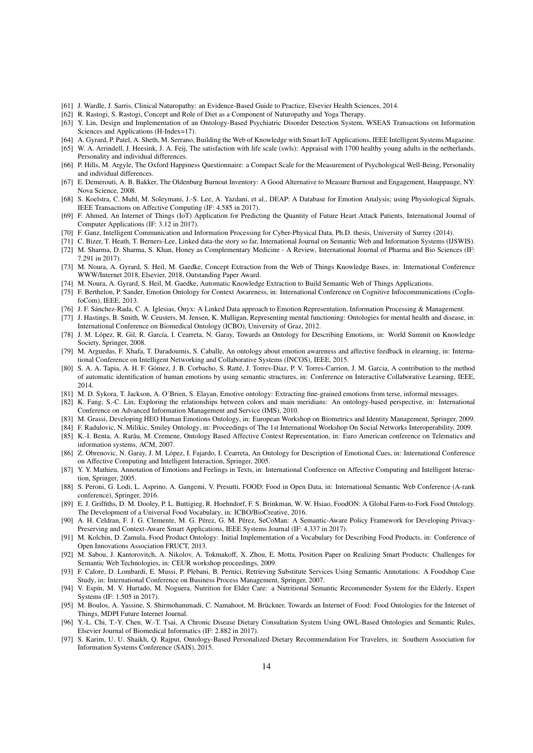- <span id="page-14-0"></span>[61] J. Wardle, J. Sarris, Clinical Naturopathy: an Evidence-Based Guide to Practice, Elsevier Health Sciences, 2014.
- <span id="page-14-1"></span>[62] R. Rastogi, S. Rastogi, Concept and Role of Diet as a Component of Naturopathy and Yoga Therapy.
- <span id="page-14-2"></span>[63] Y. Lin, Design and Implementation of an Ontology-Based Psychiatric Disorder Detection System, WSEAS Transactions on Information Sciences and Applications (H-Index=17).
- <span id="page-14-3"></span>[64] A. Gyrard, P. Patel, A. Sheth, M. Serrano, Building the Web of Knowledge with Smart IoT Applications, IEEE Intelligent Systems Magazine.
- <span id="page-14-4"></span>[65] W. A. Arrindell, J. Heesink, J. A. Feij, The satisfaction with life scale (swls): Appraisal with 1700 healthy young adults in the netherlands, Personality and individual differences.
- <span id="page-14-5"></span>[66] P. Hills, M. Argyle, The Oxford Happiness Questionnaire: a Compact Scale for the Measurement of Psychological Well-Being, Personality and individual differences.
- <span id="page-14-6"></span>[67] E. Demerouti, A. B. Bakker, The Oldenburg Burnout Inventory: A Good Alternative to Measure Burnout and Engagement, Hauppauge, NY: Nova Science, 2008.
- <span id="page-14-7"></span>[68] S. Koelstra, C. Muhl, M. Soleymani, J.-S. Lee, A. Yazdani, et al., DEAP: A Database for Emotion Analysis; using Physiological Signals, IEEE Transactions on Affective Computing (IF: 4.585 in 2017).
- <span id="page-14-8"></span>[69] F. Ahmed, An Internet of Things (IoT) Application for Predicting the Quantity of Future Heart Attack Patients, International Journal of Computer Applications (IF: 3.12 in 2017).
- <span id="page-14-9"></span>[70] F. Ganz, Intelligent Communication and Information Processing for Cyber-Physical Data, Ph.D. thesis, University of Surrey (2014).
- <span id="page-14-10"></span>[71] C. Bizer, T. Heath, T. Berners-Lee, Linked data-the story so far, International Journal on Semantic Web and Information Systems (IJSWIS).
- <span id="page-14-11"></span>[72] M. Sharma, D. Sharma, S. Khan, Honey as Complementary Medicine - A Review, International Journal of Pharma and Bio Sciences (IF: 7.291 in 2017).
- <span id="page-14-12"></span>[73] M. Noura, A. Gyrard, S. Heil, M. Gaedke, Concept Extraction from the Web of Things Knowledge Bases, in: International Conference WWW/Internet 2018, Elsevier, 2018, Outstanding Paper Award.
- <span id="page-14-13"></span>[74] M. Noura, A. Gyrard, S. Heil, M. Gaedke, Automatic Knowledge Extraction to Build Semantic Web of Things Applications.
- <span id="page-14-14"></span>[75] F. Berthelon, P. Sander, Emotion Ontology for Context Awareness, in: International Conference on Cognitive Infocommunications (CogInfoCom), IEEE, 2013.
- <span id="page-14-15"></span>[76] J. F. Sánchez-Rada, C. A. Iglesias, Onyx: A Linked Data approach to Emotion Representation, Information Processing & Management.
- <span id="page-14-16"></span>[77] J. Hastings, B. Smith, W. Ceusters, M. Jensen, K. Mulligan, Representing mental functioning: Ontologies for mental health and disease, in: International Conference on Biomedical Ontology (ICBO), University of Graz, 2012.
- <span id="page-14-17"></span>[78] J. M. López, R. Gil, R. García, I. Cearreta, N. Garay, Towards an Ontology for Describing Emotions, in: World Summit on Knowledge Society, Springer, 2008.
- <span id="page-14-18"></span>[79] M. Arguedas, F. Xhafa, T. Daradoumis, S. Caballe, An ontology about emotion awareness and affective feedback in elearning, in: International Conference on Intelligent Networking and Collaborative Systems (INCOS), IEEE, 2015.
- <span id="page-14-19"></span>[80] S. A. A. Tapia, A. H. F. Gómez, J. B. Corbacho, S. Ratté, J. Torres-Diaz, P. V. Torres-Carrion, J. M. Garcia, A contribution to the method of automatic identification of human emotions by using semantic structures, in: Conference on Interactive Collaborative Learning, IEEE, 2014.
- <span id="page-14-20"></span>[81] M. D. Sykora, T. Jackson, A. O'Brien, S. Elayan, Emotive ontology: Extracting fine-grained emotions from terse, informal messages.
- <span id="page-14-21"></span>[82] K. Fang, S.-C. Lin, Exploring the relationships between colors and main meridians: An ontology-based perspective, in: International Conference on Advanced Information Management and Service (IMS), 2010.
- <span id="page-14-22"></span>[83] M. Grassi, Developing HEO Human Emotions Ontology, in: European Workshop on Biometrics and Identity Management, Springer, 2009.
- <span id="page-14-23"></span>[84] F. Radulovic, N. Milikic, Smiley Ontology, in: Proceedings of The 1st International Workshop On Social Networks Interoperability, 2009.
- <span id="page-14-24"></span>[85] K.-I. Benta, A. Rarău, M. Cremene, Ontology Based Affective Context Representation, in: Euro American conference on Telematics and information systems, ACM, 2007.
- <span id="page-14-25"></span>[86] Z. Obrenovic, N. Garay, J. M. López, I. Fajardo, I. Cearreta, An Ontology for Description of Emotional Cues, in: International Conference on Affective Computing and Intelligent Interaction, Springer, 2005.
- <span id="page-14-26"></span>[87] Y. Y. Mathieu, Annotation of Emotions and Feelings in Texts, in: International Conference on Affective Computing and Intelligent Interaction, Springer, 2005.
- <span id="page-14-27"></span>[88] S. Peroni, G. Lodi, L. Asprino, A. Gangemi, V. Presutti, FOOD: Food in Open Data, in: International Semantic Web Conference (A-rank conference), Springer, 2016.
- <span id="page-14-28"></span>[89] E. J. Griffiths, D. M. Dooley, P. L. Buttigieg, R. Hoehndorf, F. S. Brinkman, W. W. Hsiao, FoodON: A Global Farm-to-Fork Food Ontology. The Development of a Universal Food Vocabulary, in: ICBO/BioCreative, 2016.
- <span id="page-14-29"></span>[90] A. H. Celdran, F. J. G. Clemente, M. G. Pérez, G. M. Pérez, SeCoMan: A Semantic-Aware Policy Framework for Developing Privacy-Preserving and Context-Aware Smart Applications, IEEE Systems Journal (IF: 4.337 in 2017).
- <span id="page-14-30"></span>[91] M. Kolchin, D. Zamula, Food Product Ontology: Initial Implementation of a Vocabulary for Describing Food Products, in: Conference of Open Innovations Association FRUCT, 2013.
- <span id="page-14-31"></span>[92] M. Sabou, J. Kantorovitch, A. Nikolov, A. Tokmakoff, X. Zhou, E. Motta, Position Paper on Realizing Smart Products: Challenges for Semantic Web Technologies, in: CEUR workshop proceedings, 2009.
- <span id="page-14-32"></span>[93] F. Calore, D. Lombardi, E. Mussi, P. Plebani, B. Pernici, Retrieving Substitute Services Using Semantic Annotations: A Foodshop Case Study, in: International Conference on Business Process Management, Springer, 2007.
- <span id="page-14-33"></span>[94] V. Espín, M. V. Hurtado, M. Noguera, Nutrition for Elder Care: a Nutritional Semantic Recommender System for the Elderly, Expert Systems (IF: 1.505 in 2017).
- <span id="page-14-34"></span>[95] M. Boulos, A. Yassine, S. Shirmohammadi, C. Namahoot, M. Brückner, Towards an Internet of Food: Food Ontologies for the Internet of Things, MDPI Future Internet Journal.
- <span id="page-14-35"></span>[96] Y.-L. Chi, T.-Y. Chen, W.-T. Tsai, A Chronic Disease Dietary Consultation System Using OWL-Based Ontologies and Semantic Rules, Elsevier Journal of Biomedical Informatics (IF: 2.882 in 2017).
- <span id="page-14-36"></span>[97] S. Karim, U. U. Shaikh, Q. Rajput, Ontology-Based Personalized Dietary Recommendation For Travelers, in: Southern Association for Information Systems Conference (SAIS), 2015.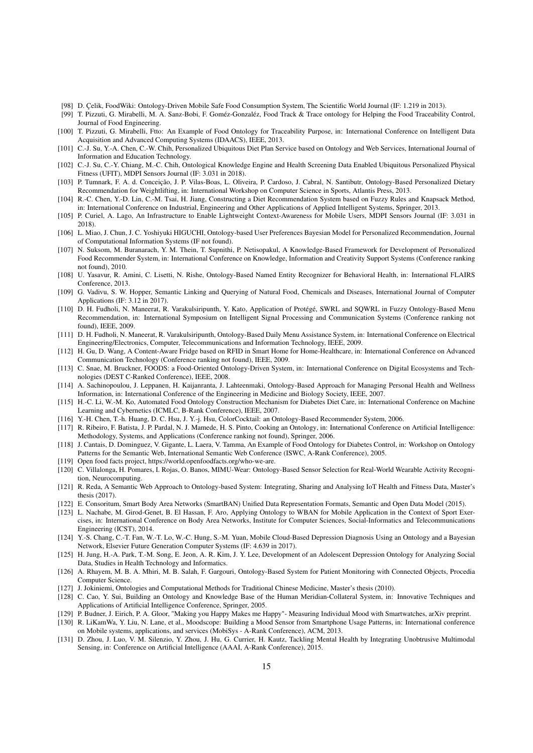- <span id="page-15-0"></span>[98] D. Çelik, FoodWiki: Ontology-Driven Mobile Safe Food Consumption System, The Scientific World Journal (IF: 1.219 in 2013).
- <span id="page-15-1"></span>[99] T. Pizzuti, G. Mirabelli, M. A. Sanz-Bobi, F. Goméz-Gonzaléz, Food Track & Trace ontology for Helping the Food Traceability Control, Journal of Food Engineering.
- <span id="page-15-2"></span>[100] T. Pizzuti, G. Mirabelli, Ftto: An Example of Food Ontology for Traceability Purpose, in: International Conference on Intelligent Data Acquisition and Advanced Computing Systems (IDAACS), IEEE, 2013.
- <span id="page-15-3"></span>[101] C.-J. Su, Y.-A. Chen, C.-W. Chih, Personalized Ubiquitous Diet Plan Service based on Ontology and Web Services, International Journal of Information and Education Technology.
- <span id="page-15-4"></span>[102] C.-J. Su, C.-Y. Chiang, M.-C. Chih, Ontological Knowledge Engine and Health Screening Data Enabled Ubiquitous Personalized Physical Fitness (UFIT), MDPI Sensors Journal (IF: 3.031 in 2018).
- <span id="page-15-5"></span>[103] P. Tumnark, F. A. d. Conceição, J. P. Vilas-Boas, L. Oliveira, P. Cardoso, J. Cabral, N. Santibutr, Ontology-Based Personalized Dietary Recommendation for Weightlifting, in: International Workshop on Computer Science in Sports, Atlantis Press, 2013.
- <span id="page-15-6"></span>[104] R.-C. Chen, Y.-D. Lin, C.-M. Tsai, H. Jiang, Constructing a Diet Recommendation System based on Fuzzy Rules and Knapsack Method, in: International Conference on Industrial, Engineering and Other Applications of Applied Intelligent Systems, Springer, 2013.
- <span id="page-15-7"></span>[105] P. Curiel, A. Lago, An Infrastructure to Enable Lightweight Context-Awareness for Mobile Users, MDPI Sensors Journal (IF: 3.031 in 2018).
- <span id="page-15-8"></span>[106] L. Miao, J. Chun, J. C. Yoshiyuki HIGUCHI, Ontology-based User Preferences Bayesian Model for Personalized Recommendation, Journal of Computational Information Systems (IF not found).
- <span id="page-15-9"></span>[107] N. Suksom, M. Buranarach, Y. M. Thein, T. Supnithi, P. Netisopakul, A Knowledge-Based Framework for Development of Personalized Food Recommender System, in: International Conference on Knowledge, Information and Creativity Support Systems (Conference ranking not found), 2010.
- <span id="page-15-10"></span>[108] U. Yasavur, R. Amini, C. Lisetti, N. Rishe, Ontology-Based Named Entity Recognizer for Behavioral Health, in: International FLAIRS Conference, 2013.
- <span id="page-15-11"></span>[109] G. Vadivu, S. W. Hopper, Semantic Linking and Querying of Natural Food, Chemicals and Diseases, International Journal of Computer Applications (IF: 3.12 in 2017).
- <span id="page-15-12"></span>[110] D. H. Fudholi, N. Maneerat, R. Varakulsiripunth, Y. Kato, Application of Protégé, SWRL and SQWRL in Fuzzy Ontology-Based Menu Recommendation, in: International Symposium on Intelligent Signal Processing and Communication Systems (Conference ranking not found), IEEE, 2009.
- <span id="page-15-13"></span>[111] D. H. Fudholi, N. Maneerat, R. Varakulsiripunth, Ontology-Based Daily Menu Assistance System, in: International Conference on Electrical Engineering/Electronics, Computer, Telecommunications and Information Technology, IEEE, 2009.
- <span id="page-15-14"></span>[112] H. Gu, D. Wang, A Content-Aware Fridge based on RFID in Smart Home for Home-Healthcare, in: International Conference on Advanced Communication Technology (Conference ranking not found), IEEE, 2009.
- <span id="page-15-15"></span>[113] C. Snae, M. Bruckner, FOODS: a Food-Oriented Ontology-Driven System, in: International Conference on Digital Ecosystems and Technologies (DEST C-Ranked Conference), IEEE, 2008.
- <span id="page-15-16"></span>[114] A. Sachinopoulou, J. Leppanen, H. Kaijanranta, J. Lahteenmaki, Ontology-Based Approach for Managing Personal Health and Wellness Information, in: International Conference of the Engineering in Medicine and Biology Society, IEEE, 2007.
- <span id="page-15-17"></span>[115] H.-C. Li, W.-M. Ko, Automated Food Ontology Construction Mechanism for Diabetes Diet Care, in: International Conference on Machine Learning and Cybernetics (ICMLC, B-Rank Conference), IEEE, 2007.
- <span id="page-15-18"></span>[116] Y.-H. Chen, T.-h. Huang, D. C. Hsu, J. Y.-j. Hsu, ColorCocktail: an Ontology-Based Recommender System, 2006.
- <span id="page-15-19"></span>[117] R. Ribeiro, F. Batista, J. P. Pardal, N. J. Mamede, H. S. Pinto, Cooking an Ontology, in: International Conference on Artificial Intelligence: Methodology, Systems, and Applications (Conference ranking not found), Springer, 2006.
- <span id="page-15-20"></span>[118] J. Cantais, D. Dominguez, V. Gigante, L. Laera, V. Tamma, An Example of Food Ontology for Diabetes Control, in: Workshop on Ontology Patterns for the Semantic Web, International Semantic Web Conference (ISWC, A-Rank Conference), 2005.
- <span id="page-15-21"></span>[119] Open food facts project, https://world.openfoodfacts.org/who-we-are.
- <span id="page-15-22"></span>[120] C. Villalonga, H. Pomares, I. Rojas, O. Banos, MIMU-Wear: Ontology-Based Sensor Selection for Real-World Wearable Activity Recognition, Neurocomputing.
- <span id="page-15-23"></span>[121] R. Reda, A Semantic Web Approach to Ontology-based System: Integrating, Sharing and Analysing IoT Health and Fitness Data, Master's thesis (2017).
- <span id="page-15-24"></span>[122] E. Consoritum, Smart Body Area Networks (SmartBAN) Unified Data Representation Formats, Semantic and Open Data Model (2015).
- <span id="page-15-25"></span>[123] L. Nachabe, M. Girod-Genet, B. El Hassan, F. Aro, Applying Ontology to WBAN for Mobile Application in the Context of Sport Exercises, in: International Conference on Body Area Networks, Institute for Computer Sciences, Social-Informatics and Telecommunications Engineering (ICST), 2014.
- <span id="page-15-26"></span>[124] Y.-S. Chang, C.-T. Fan, W.-T. Lo, W.-C. Hung, S.-M. Yuan, Mobile Cloud-Based Depression Diagnosis Using an Ontology and a Bayesian Network, Elsevier Future Generation Computer Systems (IF: 4.639 in 2017).
- <span id="page-15-27"></span>[125] H. Jung, H.-A. Park, T.-M. Song, E. Jeon, A. R. Kim, J. Y. Lee, Development of an Adolescent Depression Ontology for Analyzing Social Data, Studies in Health Technology and Informatics.
- <span id="page-15-28"></span>[126] A. Rhayem, M. B. A. Mhiri, M. B. Salah, F. Gargouri, Ontology-Based System for Patient Monitoring with Connected Objects, Procedia Computer Science.
- <span id="page-15-29"></span>[127] J. Jokiniemi, Ontologies and Computational Methods for Traditional Chinese Medicine, Master's thesis (2010).
- <span id="page-15-30"></span>[128] C. Cao, Y. Sui, Building an Ontology and Knowledge Base of the Human Meridian-Collateral System, in: Innovative Techniques and Applications of Artificial Intelligence Conference, Springer, 2005.
- <span id="page-15-31"></span>[129] P. Budner, J. Eirich, P. A. Gloor, "Making you Happy Makes me Happy"- Measuring Individual Mood with Smartwatches, arXiv preprint.
- <span id="page-15-32"></span>[130] R. LiKamWa, Y. Liu, N. Lane, et al., Moodscope: Building a Mood Sensor from Smartphone Usage Patterns, in: International conference on Mobile systems, applications, and services (MobiSys - A-Rank Conference), ACM, 2013.
- <span id="page-15-33"></span>[131] D. Zhou, J. Luo, V. M. Silenzio, Y. Zhou, J. Hu, G. Currier, H. Kautz, Tackling Mental Health by Integrating Unobtrusive Multimodal Sensing, in: Conference on Artificial Intelligence (AAAI, A-Rank Conference), 2015.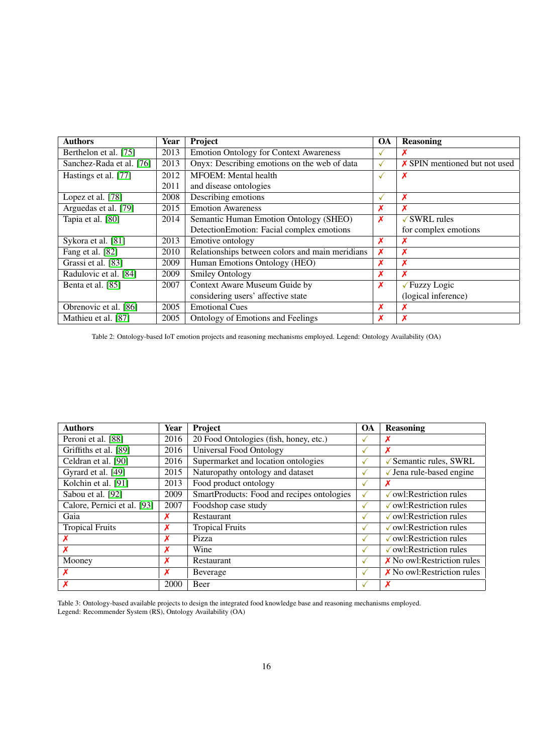<span id="page-16-0"></span>

| <b>Authors</b>           | <b>Year</b> | Project                                         | <b>OA</b>    | <b>Reasoning</b>                     |
|--------------------------|-------------|-------------------------------------------------|--------------|--------------------------------------|
| Berthelon et al. [75]    | 2013        | <b>Emotion Ontology for Context Awareness</b>   |              | Х                                    |
| Sanchez-Rada et al. [76] | 2013        | Onyx: Describing emotions on the web of data    | $\checkmark$ | <b>X</b> SPIN mentioned but not used |
| Hastings et al. [77]     | 2012        | <b>MFOEM:</b> Mental health                     | $\checkmark$ | X                                    |
|                          | 2011        | and disease ontologies                          |              |                                      |
| Lopez et al. [78]        | 2008        | Describing emotions                             | $\checkmark$ | Х                                    |
| Arguedas et al. [79]     | 2015        | <b>Emotion Awareness</b>                        | X            | $\boldsymbol{\mathsf{x}}$            |
| Tapia et al. [80]        | 2014        | Semantic Human Emotion Ontology (SHEO)          | X            | $\sqrt{\text{SWRL}}$ rules           |
|                          |             | DetectionEmotion: Facial complex emotions       |              | for complex emotions                 |
| Sykora et al. [81]       | 2013        | Emotive ontology                                | X            | Х                                    |
| Fang et al. [82]         | 2010        | Relationships between colors and main meridians | X            | X                                    |
| Grassi et al. [83]       | 2009        | Human Emotions Ontology (HEO)                   | X            | X                                    |
| Radulovic et al. [84]    | 2009        | <b>Smiley Ontology</b>                          | X            | X                                    |
| Benta et al. [85]        | 2007        | Context Aware Museum Guide by                   | X            | √Fuzzy Logic                         |
|                          |             | considering users' affective state              |              | (logical inference)                  |
| Obrenovic et al. [86]    | 2005        | <b>Emotional Cues</b>                           | X            | X                                    |
| Mathieu et al. [87]      | 2005        | Ontology of Emotions and Feelings               | X            | X                                    |

Table 2: Ontology-based IoT emotion projects and reasoning mechanisms employed. Legend: Ontology Availability (OA)

<span id="page-16-1"></span>

| <b>Authors</b>              | Year | Project                                    |                          | <b>Reasoning</b>                              |
|-----------------------------|------|--------------------------------------------|--------------------------|-----------------------------------------------|
| Peroni et al. [88]          | 2016 | 20 Food Ontologies (fish, honey, etc.)     | M                        | Х                                             |
| Griffiths et al. [89]       | 2016 | Universal Food Ontology                    | V                        | X                                             |
| Celdran et al. [90]         | 2016 | Supermarket and location ontologies        | $\checkmark$             | $\sqrt{\ }$ Semantic rules, SWRL              |
| Gyrard et al. [49]          | 2015 | Naturopathy ontology and dataset           | $\sqrt{}$                | $\sqrt{}$ Jena rule-based engine              |
| Kolchin et al. [91]         | 2013 | Food product ontology                      | √                        | Х                                             |
| Sabou et al. [92]           | 2009 | SmartProducts: Food and recipes ontologies | $\checkmark$             | $\sqrt{\text{owl}}$ : Restriction rules       |
| Calore, Pernici et al. [93] | 2007 | Foodshop case study                        | M                        | $\sqrt{\text{owl}}$ : Restriction rules       |
| Gaia                        | х    | <b>Restaurant</b>                          | $\checkmark$             | $\sqrt{\text{owl}}$ : Restriction rules       |
| <b>Tropical Fruits</b>      | Х    | <b>Tropical Fruits</b>                     | $\overline{\phantom{a}}$ | $\sqrt{\text{owl}}$ : Restriction rules       |
| х                           | X    | Pizza                                      | $\checkmark$             | $\sqrt{\text{owl}}$ : Restriction rules       |
| X                           | X    | Wine                                       | $\checkmark$             | $\sqrt{\text{}}$ owl: Restriction rules       |
| Mooney                      | Х    | <b>Restaurant</b>                          | $\checkmark$             | $\boldsymbol{\chi}$ No owl: Restriction rules |
| X                           | X    | Beverage                                   | $\checkmark$             | $\chi$ No owl: Restriction rules              |
|                             | 2000 | Beer                                       | v                        | X                                             |

Table 3: Ontology-based available projects to design the integrated food knowledge base and reasoning mechanisms employed. Legend: Recommender System (RS), Ontology Availability (OA)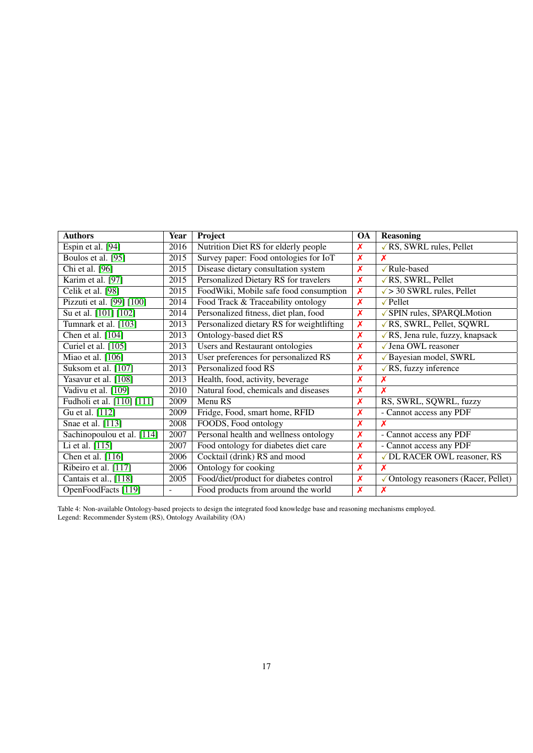<span id="page-17-0"></span>

| <b>Authors</b>             | <b>Year</b> | Project                                   | <b>OA</b>                 | <b>Reasoning</b>                         |
|----------------------------|-------------|-------------------------------------------|---------------------------|------------------------------------------|
| Espin et al. [94]          | 2016        | Nutrition Diet RS for elderly people      | Х                         | $\sqrt{RS}$ , SWRL rules, Pellet         |
| Boulos et al. [95]         | 2015        | Survey paper: Food ontologies for IoT     | $\boldsymbol{\mathsf{x}}$ | X                                        |
| Chi et al. [96]            | 2015        | Disease dietary consultation system       | X                         | √Rule-based                              |
| Karim et al. [97]          | 2015        | Personalized Dietary RS for travelers     | X                         | √RS, SWRL, Pellet                        |
| Celik et al. [98]          | 2015        | FoodWiki, Mobile safe food consumption    | X                         | $\sqrt{$ > 30 SWRL rules, Pellet         |
| Pizzuti et al. [99] [100]  | 2014        | Food Track & Traceability ontology        | X                         | $\sqrt{\text{Pellet}}$                   |
| Su et al. [101] [102]      | 2014        | Personalized fitness, diet plan, food     | $\boldsymbol{\mathsf{x}}$ | √ SPIN rules, SPARQLMotion               |
| Tumnark et al. [103]       | 2013        | Personalized dietary RS for weightlifting | X                         | √RS, SWRL, Pellet, SQWRL                 |
| Chen et al. [104]          | 2013        | Ontology-based diet RS                    | X                         | $\sqrt{RS}$ , Jena rule, fuzzy, knapsack |
| Curiel et al. [105]        | 2013        | Users and Restaurant ontologies           | X                         | √ Jena OWL reasoner                      |
| Miao et al. [106]          | 2013        | User preferences for personalized RS      | Х                         | √Bayesian model, SWRL                    |
| Suksom et al. [107]        | 2013        | Personalized food RS                      | Х                         | $\sqrt{RS}$ , fuzzy inference            |
| Yasavur et al. [108]       | 2013        | Health, food, activity, beverage          | Х                         | Х                                        |
| Vadivu et al. [109]        | 2010        | Natural food, chemicals and diseases      | Х                         | X                                        |
| Fudholi et al. [110] [111] | 2009        | Menu RS                                   | X                         | RS, SWRL, SQWRL, fuzzy                   |
| Gu et al. [112]            | 2009        | Fridge, Food, smart home, RFID            | Х                         | - Cannot access any PDF                  |
| Snae et al. [113]          | 2008        | FOODS, Food ontology                      | X                         |                                          |
| Sachinopoulou et al. [114] | 2007        | Personal health and wellness ontology     | X                         | - Cannot access any PDF                  |
| Li et al. [115]            | 2007        | Food ontology for diabetes diet care      | Х                         | - Cannot access any PDF                  |
| Chen et al. $[116]$        | 2006        | Cocktail (drink) RS and mood              | Х                         | √DL RACER OWL reasoner, RS               |
| Ribeiro et al. [117]       | 2006        | Ontology for cooking                      | X                         | X                                        |
| Cantais et al., [118]      | 2005        | Food/diet/product for diabetes control    | Х                         | √Ontology reasoners (Racer, Pellet)      |
| OpenFoodFacts [119]        |             | Food products from around the world       | $\boldsymbol{\mathsf{x}}$ | X                                        |

Table 4: Non-available Ontology-based projects to design the integrated food knowledge base and reasoning mechanisms employed. Legend: Recommender System (RS), Ontology Availability (OA)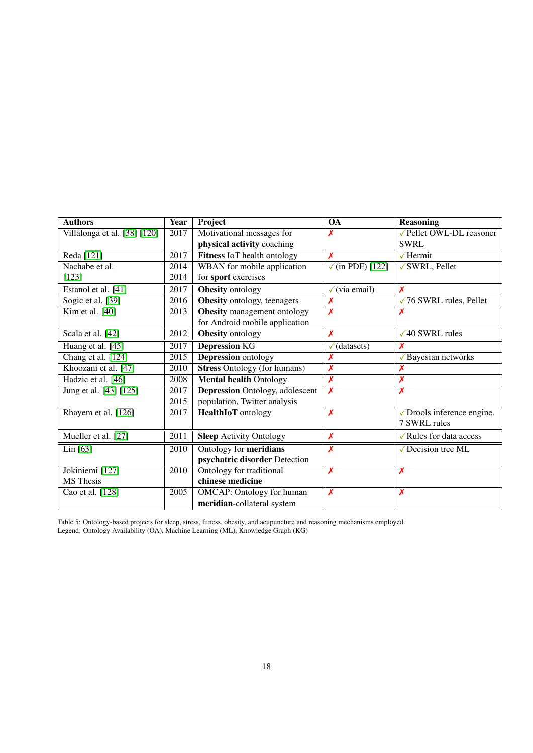<span id="page-18-0"></span>

| <b>Authors</b>                 | Year              | Project                                 | $\overline{OA}$                | <b>Reasoning</b>               |
|--------------------------------|-------------------|-----------------------------------------|--------------------------------|--------------------------------|
| Villalonga et al. $[38] [120]$ | 2017              | Motivational messages for               | X                              | √Pellet OWL-DL reasoner        |
|                                |                   | physical activity coaching              |                                | <b>SWRL</b>                    |
| Reda <sup>[121]</sup>          | 2017              | Fitness IoT health ontology             | X                              | $\sqrt{$ Hermit                |
| Nachabe et al.                 | 2014              | WBAN for mobile application             | $\sqrt{\text{(in PDF)}}$ [122] | √ SWRL, Pellet                 |
| $[123]$                        | 2014              | for sport exercises                     |                                |                                |
| Estanol et al. [41]            | 2017              | Obesity ontology                        | $\checkmark$ (via email)       | $\boldsymbol{x}$               |
| Sogic et al. [39]              | 2016              | Obesity ontology, teenagers             | X                              | $\sqrt{76}$ SWRL rules, Pellet |
| Kim et al. $[40]$              | 2013              | <b>Obesity</b> management ontology      | $\overline{\mathsf{x}}$        | X                              |
|                                |                   | for Android mobile application          |                                |                                |
| Scala et al. [42]              | 2012              | Obesity ontology                        | $\overline{\mathsf{x}}$        | $\sqrt{40}$ SWRL rules         |
| Huang et al. [45]              | 2017              | <b>Depression KG</b>                    | $\checkmark$ (datasets)        | х                              |
| Chang et al. [124]             | 2015              | <b>Depression</b> ontology              | X                              | √Bayesian networks             |
| Khoozani et al. [47]           | $\overline{2010}$ | <b>Stress Ontology (for humans)</b>     | $\overline{\mathsf{x}}$        | X                              |
| Hadzic et al. [46]             | 2008              | <b>Mental health Ontology</b>           | $\overline{\mathbf{x}}$        | $\overline{\mathbf{x}}$        |
| Jung et al. [43] [125]         | 2017              | <b>Depression Ontology</b> , adolescent | X                              | $\boldsymbol{x}$               |
|                                | 2015              | population, Twitter analysis            |                                |                                |
| Rhayem et al. [126]            | 2017              | <b>HealthIoT</b> ontology               | $\overline{\mathsf{x}}$        | √ Drools inference engine,     |
|                                |                   |                                         |                                | 7 SWRL rules                   |
| Mueller et al. [27]            | 2011              | <b>Sleep</b> Activity Ontology          | $\boldsymbol{x}$               | ✓ Rules for data access        |
| Lin [63]                       | 2010              | Ontology for meridians                  | $\overline{\mathsf{x}}$        | √Decision tree ML              |
|                                |                   | psychatric disorder Detection           |                                |                                |
| Jokiniemi [127]                | 2010              | Ontology for traditional                | $\boldsymbol{\mathsf{x}}$      | $\boldsymbol{\mathsf{x}}$      |
| <b>MS</b> Thesis               |                   | chinese medicine                        |                                |                                |
| Cao et al. [128]               | 2005              | <b>OMCAP:</b> Ontology for human        | X                              | $\boldsymbol{\mathsf{x}}$      |
|                                |                   | meridian-collateral system              |                                |                                |

Table 5: Ontology-based projects for sleep, stress, fitness, obesity, and acupuncture and reasoning mechanisms employed. Legend: Ontology Availability (OA), Machine Learning (ML), Knowledge Graph (KG)